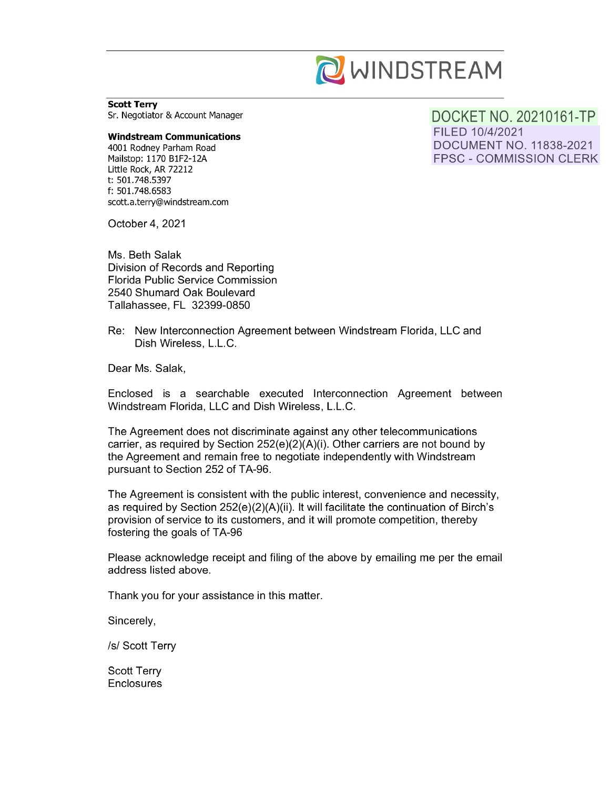

**Scott Terry**  Sr. Negotiator & Account Manager

#### **Windstream Communications**

4001 Rodney Parham Road Mailstop: 1170 B1F2-12A Little Rock, AR 72212 t: 501. 748.5397 f: 501.748.6583 scott.a.terry@windstream.com DOCKET NO. 20210161-TP FILED 10/4/2021 DOCUMENT NO. 11838-2021 FPSC - COMMISSION CLERK

October 4, 2021

Ms. Beth Salak Division of Records and Reporting Florida Public Service Commission 2540 Shumard Oak Boulevard Tallahassee, FL 32399-0850

Re: New Interconnection Agreement between Windstream Florida, LLC and Dish Wireless, L.L.C.

Dear Ms. Salak,

Enclosed is a searchable executed Interconnection Agreement between Windstream Florida, LLC and Dish Wireless, L.L.C.

The Agreement does not discriminate against any other telecommunications carrier, as required by Section 252(e)(2)(A)(i). Other carriers are not bound by the Agreement and remain free to negotiate independently with Windstream pursuant to Section 252 of TA-96.

The Agreement is consistent with the public interest, convenience and necessity, as required by Section 252(e)(2)(A)(ii). It will facilitate the continuation of Birch's provision of service to its customers, and it will promote competition, thereby fostering the goals of TA-96

Please acknowledge receipt and filing of the above by emailing me per the email address listed above.

Thank you for your assistance in this matter.

Sincerely,

/s/ Scott Terry

Scott Terry **Enclosures**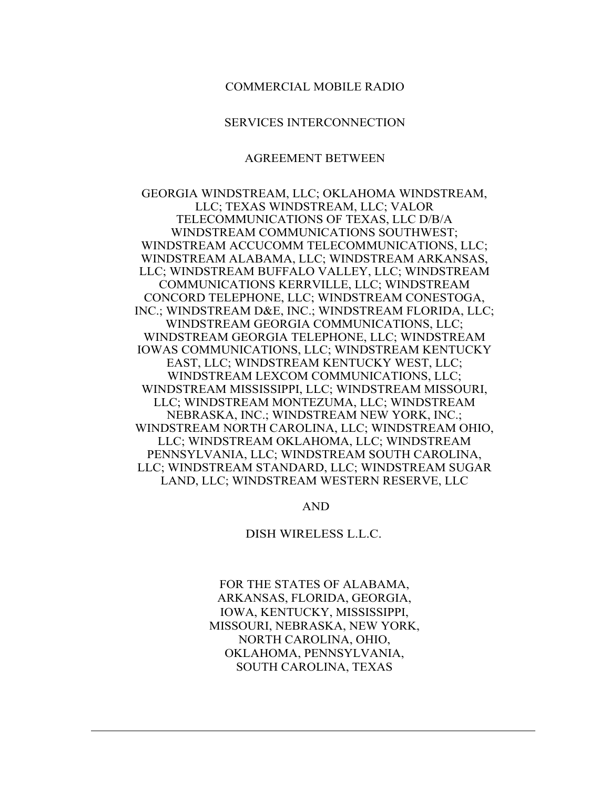#### COMMERCIAL MOBILE RADIO

#### SERVICES INTERCONNECTION

#### AGREEMENT BETWEEN

GEORGIA WINDSTREAM, LLC; OKLAHOMA WINDSTREAM, LLC; TEXAS WINDSTREAM, LLC; VALOR TELECOMMUNICATIONS OF TEXAS, LLC D/B/A WINDSTREAM COMMUNICATIONS SOUTHWEST; WINDSTREAM ACCUCOMM TELECOMMUNICATIONS, LLC; WINDSTREAM ALABAMA, LLC; WINDSTREAM ARKANSAS, LLC; WINDSTREAM BUFFALO VALLEY, LLC; WINDSTREAM COMMUNICATIONS KERRVILLE, LLC; WINDSTREAM CONCORD TELEPHONE, LLC; WINDSTREAM CONESTOGA, INC.; WINDSTREAM D&E, INC.; WINDSTREAM FLORIDA, LLC; WINDSTREAM GEORGIA COMMUNICATIONS, LLC; WINDSTREAM GEORGIA TELEPHONE, LLC; WINDSTREAM IOWAS COMMUNICATIONS, LLC; WINDSTREAM KENTUCKY EAST, LLC; WINDSTREAM KENTUCKY WEST, LLC; WINDSTREAM LEXCOM COMMUNICATIONS, LLC; WINDSTREAM MISSISSIPPI, LLC; WINDSTREAM MISSOURI, LLC; WINDSTREAM MONTEZUMA, LLC; WINDSTREAM NEBRASKA, INC.; WINDSTREAM NEW YORK, INC.; WINDSTREAM NORTH CAROLINA, LLC; WINDSTREAM OHIO, LLC; WINDSTREAM OKLAHOMA, LLC; WINDSTREAM PENNSYLVANIA, LLC; WINDSTREAM SOUTH CAROLINA, LLC; WINDSTREAM STANDARD, LLC; WINDSTREAM SUGAR LAND, LLC; WINDSTREAM WESTERN RESERVE, LLC

AND

DISH WIRELESS L.L.C.

FOR THE STATES OF ALABAMA, ARKANSAS, FLORIDA, GEORGIA, IOWA, KENTUCKY, MISSISSIPPI, MISSOURI, NEBRASKA, NEW YORK, NORTH CAROLINA, OHIO, OKLAHOMA, PENNSYLVANIA, SOUTH CAROLINA, TEXAS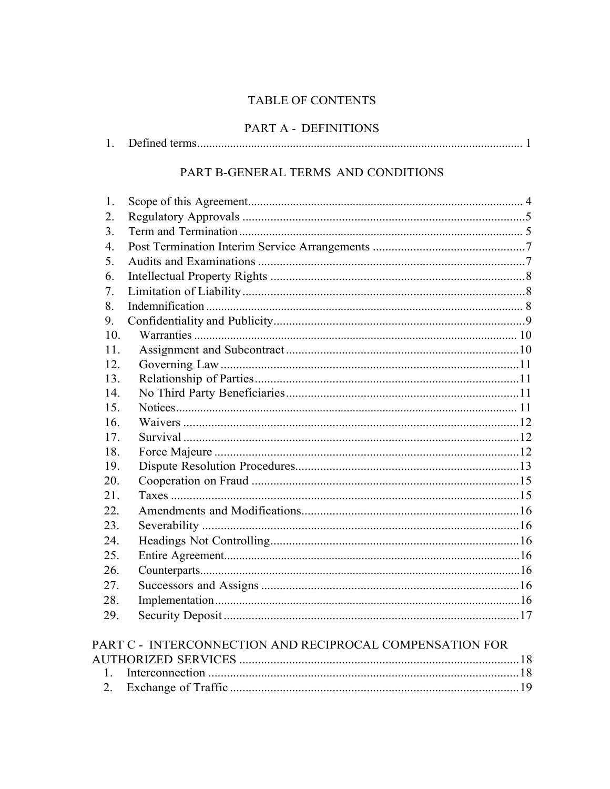# TABLE OF CONTENTS

# PART A - DEFINITIONS

| ., |  |  |
|----|--|--|
|----|--|--|

# PART B-GENERAL TERMS AND CONDITIONS

| 1.               |                                                          |  |
|------------------|----------------------------------------------------------|--|
| 2.               |                                                          |  |
| 3.               |                                                          |  |
| $\overline{4}$ . |                                                          |  |
| 5.               |                                                          |  |
| 6.               |                                                          |  |
| 7.               |                                                          |  |
| 8.               |                                                          |  |
| 9.               |                                                          |  |
| 10.              |                                                          |  |
| 11.              |                                                          |  |
| 12.              |                                                          |  |
| 13.              |                                                          |  |
| 14.              |                                                          |  |
| 15.              |                                                          |  |
| 16.              |                                                          |  |
| 17.              |                                                          |  |
| 18.              |                                                          |  |
| 19.              |                                                          |  |
| 20.              |                                                          |  |
| 21.              |                                                          |  |
| 22.              |                                                          |  |
| 23.              |                                                          |  |
| 24.              |                                                          |  |
| 25.              |                                                          |  |
| 26.              |                                                          |  |
| 27.              |                                                          |  |
| 28.              |                                                          |  |
| 29.              |                                                          |  |
|                  | PART C - INTERCONNECTION AND RECIPROCAL COMPENSATION FOR |  |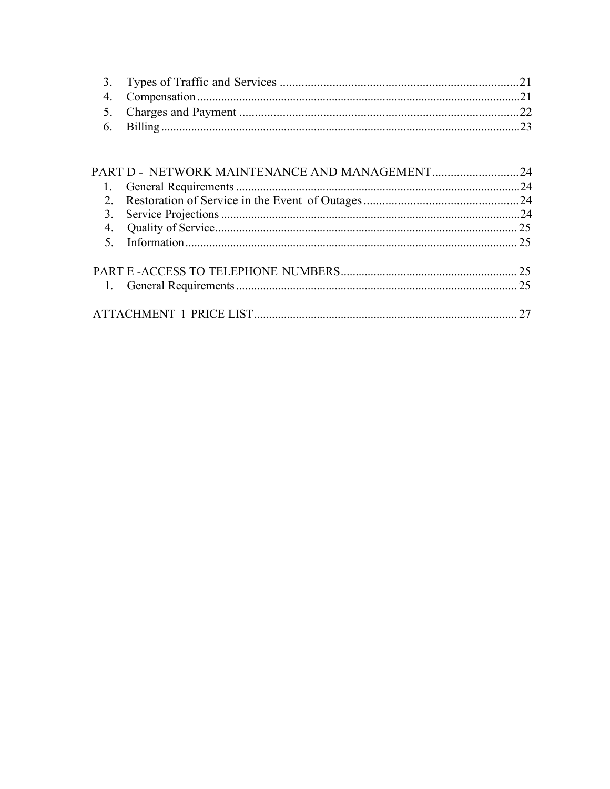| PART D - NETWORK MAINTENANCE AND MANAGEMENT24 |  |
|-----------------------------------------------|--|
|                                               |  |
|                                               |  |
|                                               |  |
|                                               |  |
|                                               |  |
|                                               |  |
|                                               |  |
|                                               |  |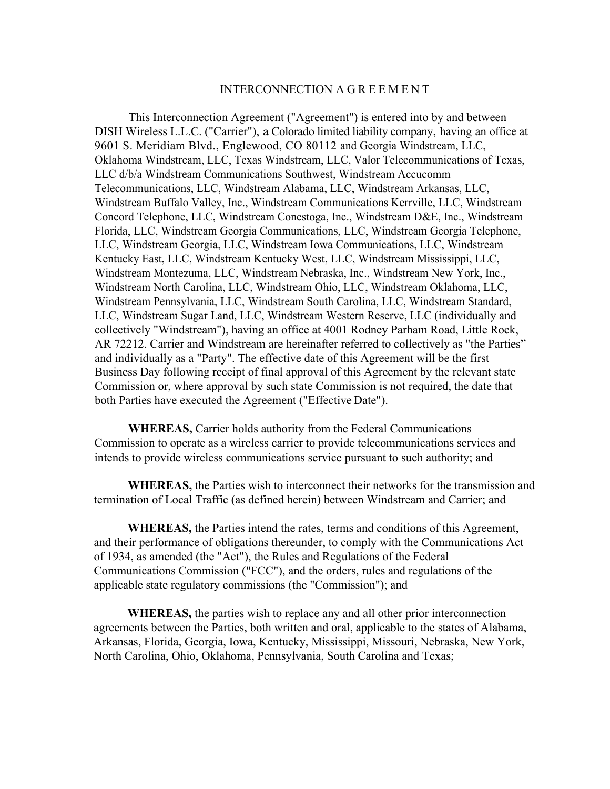#### INTERCONNECTION A G R E E M E N T

This Interconnection Agreement ("Agreement") is entered into by and between DISH Wireless L.L.C. ("Carrier"), a Colorado limited liability company, having an office at 9601 S. Meridiam Blvd., Englewood, CO 80112 and Georgia Windstream, LLC, Oklahoma Windstream, LLC, Texas Windstream, LLC, Valor Telecommunications of Texas, LLC d/b/a Windstream Communications Southwest, Windstream Accucomm Telecommunications, LLC, Windstream Alabama, LLC, Windstream Arkansas, LLC, Windstream Buffalo Valley, Inc., Windstream Communications Kerrville, LLC, Windstream Concord Telephone, LLC, Windstream Conestoga, Inc., Windstream D&E, Inc., Windstream Florida, LLC, Windstream Georgia Communications, LLC, Windstream Georgia Telephone, LLC, Windstream Georgia, LLC, Windstream Iowa Communications, LLC, Windstream Kentucky East, LLC, Windstream Kentucky West, LLC, Windstream Mississippi, LLC, Windstream Montezuma, LLC, Windstream Nebraska, Inc., Windstream New York, Inc., Windstream North Carolina, LLC, Windstream Ohio, LLC, Windstream Oklahoma, LLC, Windstream Pennsylvania, LLC, Windstream South Carolina, LLC, Windstream Standard, LLC, Windstream Sugar Land, LLC, Windstream Western Reserve, LLC (individually and collectively "Windstream"), having an office at 4001 Rodney Parham Road, Little Rock, AR 72212. Carrier and Windstream are hereinafter referred to collectively as "the Parties" and individually as a "Party". The effective date of this Agreement will be the first Business Day following receipt of final approval of this Agreement by the relevant state Commission or, where approval by such state Commission is not required, the date that both Parties have executed the Agreement ("Effective Date").

**WHEREAS,** Carrier holds authority from the Federal Communications Commission to operate as a wireless carrier to provide telecommunications services and intends to provide wireless communications service pursuant to such authority; and

**WHEREAS,** the Parties wish to interconnect their networks for the transmission and termination of Local Traffic (as defined herein) between Windstream and Carrier; and

**WHEREAS,** the Parties intend the rates, terms and conditions of this Agreement, and their performance of obligations thereunder, to comply with the Communications Act of 1934, as amended (the "Act"), the Rules and Regulations of the Federal Communications Commission ("FCC"), and the orders, rules and regulations of the applicable state regulatory commissions (the "Commission"); and

**WHEREAS,** the parties wish to replace any and all other prior interconnection agreements between the Parties, both written and oral, applicable to the states of Alabama, Arkansas, Florida, Georgia, Iowa, Kentucky, Mississippi, Missouri, Nebraska, New York, North Carolina, Ohio, Oklahoma, Pennsylvania, South Carolina and Texas;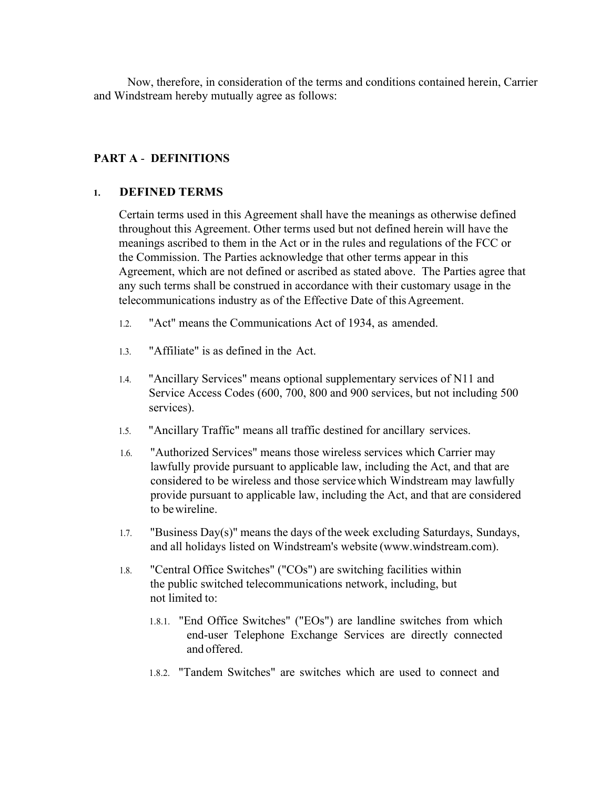Now, therefore, in consideration of the terms and conditions contained herein, Carrier and Windstream hereby mutually agree as follows:

## **PART A** - **DEFINITIONS**

## **1. DEFINED TERMS**

Certain terms used in this Agreement shall have the meanings as otherwise defined throughout this Agreement. Other terms used but not defined herein will have the meanings ascribed to them in the Act or in the rules and regulations of the FCC or the Commission. The Parties acknowledge that other terms appear in this Agreement, which are not defined or ascribed as stated above. The Parties agree that any such terms shall be construed in accordance with their customary usage in the telecommunications industry as of the Effective Date of this Agreement.

- 1.2. "Act" means the Communications Act of 1934, as amended.
- 1.3. "Affiliate" is as defined in the Act.
- 1.4. "Ancillary Services" means optional supplementary services of N11 and Service Access Codes (600, 700, 800 and 900 services, but not including 500 services).
- 1.5. "Ancillary Traffic" means all traffic destined for ancillary services.
- 1.6. "Authorized Services" means those wireless services which Carrier may lawfully provide pursuant to applicable law, including the Act, and that are considered to be wireless and those service which Windstream may lawfully provide pursuant to applicable law, including the Act, and that are considered to be wireline.
- 1.7. "Business Day(s)" means the days of the week excluding Saturdays, Sundays, and all holidays listed on Windstream's website (www.windstream.com).
- 1.8. "Central Office Switches" ("COs") are switching facilities within the public switched telecommunications network, including, but not limited to:
	- 1.8.1. "End Office Switches" ("EOs") are landline switches from which end-user Telephone Exchange Services are directly connected and offered.
	- 1.8.2. "Tandem Switches" are switches which are used to connect and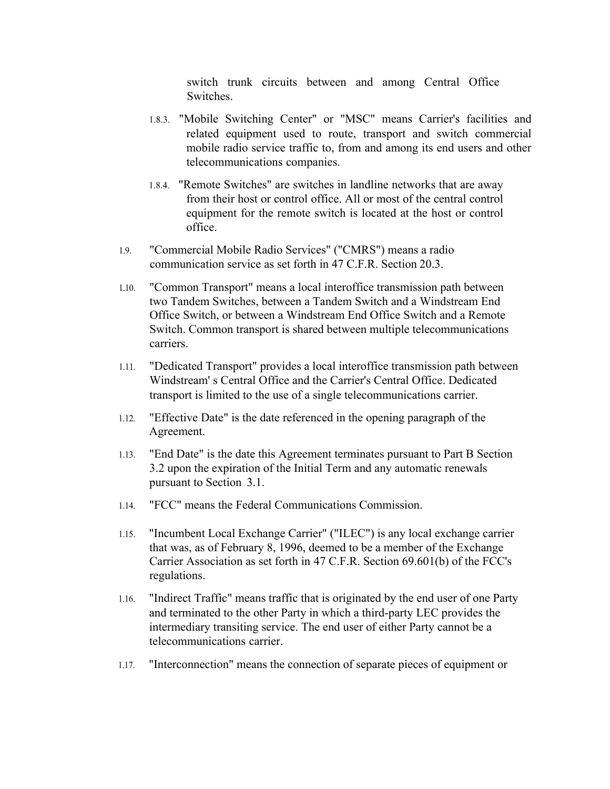switch trunk circuits between and among Central Office Switches.

- 1.8.3. "Mobile Switching Center" or "MSC" means Carrier's facilities and related equipment used to route, transport and switch commercial mobile radio service traffic to, from and among its end users and other telecommunications companies.
- 1.8.4. "Remote Switches" are switches in landline networks that are away from their host or control office. All or most of the central control equipment for the remote switch is located at the host or control office.
- 1.9. "Commercial Mobile Radio Services" ("CMRS") means a radio communication service as set forth in 47 C.F.R. Section 20.3.
- 1.10. "Common Transport" means a local interoffice transmission path between two Tandem Switches, between a Tandem Switch and a Windstream End Office Switch, or between a Windstream End Office Switch and a Remote Switch. Common transport is shared between multiple telecommunications carriers.
- 1.11. "Dedicated Transport" provides a local interoffice transmission path between Windstream' s Central Office and the Carrier's Central Office. Dedicated transport is limited to the use of a single telecommunications carrier.
- 1.12. "Effective Date" is the date referenced in the opening paragraph of the Agreement.
- 1.13. "End Date" is the date this Agreement terminates pursuant to Part B Section 3.2 upon the expiration of the Initial Term and any automatic renewals pursuant to Section 3.1.
- 1.14. "FCC" means the Federal Communications Commission.
- 1.15. "Incumbent Local Exchange Carrier" ("ILEC") is any local exchange carrier that was, as of February 8, 1996, deemed to be a member of the Exchange Carrier Association as set forth in 47 C.F.R. Section 69.601(b) of the FCC's regulations.
- 1.16. "Indirect Traffic" means traffic that is originated by the end user of one Party and terminated to the other Party in which a third-party LEC provides the intermediary transiting service. The end user of either Party cannot be a telecommunications carrier.
- 1.17. "Interconnection" means the connection of separate pieces of equipment or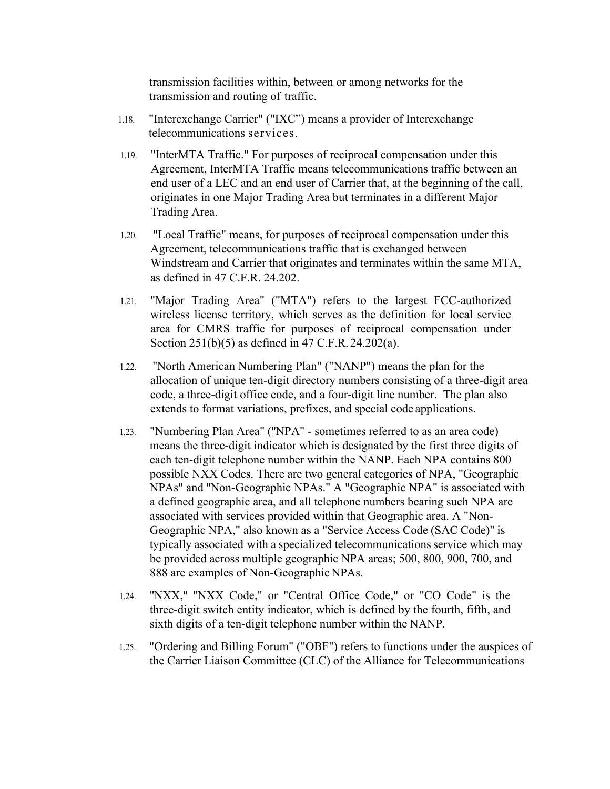transmission facilities within, between or among networks for the transmission and routing of traffic.

- 1.18. "Interexchange Carrier" ("IXC") means a provider of Interexchange telecommunications services.
- 1.19. "InterMTA Traffic." For purposes of reciprocal compensation under this Agreement, InterMTA Traffic means telecommunications traffic between an end user of a LEC and an end user of Carrier that, at the beginning of the call, originates in one Major Trading Area but terminates in a different Major Trading Area.
- 1.20. "Local Traffic" means, for purposes of reciprocal compensation under this Agreement, telecommunications traffic that is exchanged between Windstream and Carrier that originates and terminates within the same MTA, as defined in 47 C.F.R. 24.202.
- 1.21. "Major Trading Area" ("MTA") refers to the largest FCC-authorized wireless license territory, which serves as the definition for local service area for CMRS traffic for purposes of reciprocal compensation under Section 251(b)(5) as defined in 47 C.F.R. 24.202(a).
- 1.22. ''North American Numbering Plan" ("NANP") means the plan for the allocation of unique ten-digit directory numbers consisting of a three-digit area code, a three-digit office code, and a four-digit line number. The plan also extends to format variations, prefixes, and special code applications.
- 1.23. "Numbering Plan Area" (''NPA" sometimes referred to as an area code) means the three-digit indicator which is designated by the first three digits of each ten-digit telephone number within the NANP. Each NPA contains 800 possible NXX Codes. There are two general categories of NPA, "Geographic NPAs" and ''Non-Geographic NPAs." A "Geographic NPA" is associated with a defined geographic area, and all telephone numbers bearing such NPA are associated with services provided within that Geographic area. A "Non-Geographic NPA," also known as a "Service Access Code (SAC Code)" is typically associated with a specialized telecommunications service which may be provided across multiple geographic NPA areas; 500, 800, 900, 700, and 888 are examples of Non-Geographic NPAs.
- 1.24. ''NXX," ''NXX Code," or "Central Office Code," or "CO Code" is the three-digit switch entity indicator, which is defined by the fourth, fifth, and sixth digits of a ten-digit telephone number within the NANP.
- 1.25. "Ordering and Billing Forum" ("OBF") refers to functions under the auspices of the Carrier Liaison Committee (CLC) of the Alliance for Telecommunications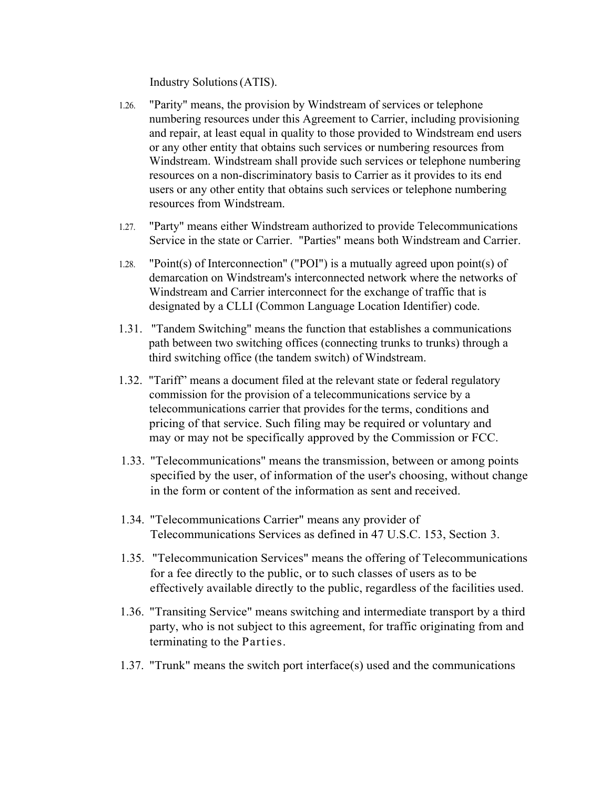Industry Solutions (ATIS).

- 1.26. "Parity" means, the provision by Windstream of services or telephone numbering resources under this Agreement to Carrier, including provisioning and repair, at least equal in quality to those provided to Windstream end users or any other entity that obtains such services or numbering resources from Windstream. Windstream shall provide such services or telephone numbering resources on a non-discriminatory basis to Carrier as it provides to its end users or any other entity that obtains such services or telephone numbering resources from Windstream.
- 1.27. "Party" means either Windstream authorized to provide Telecommunications Service in the state or Carrier. "Parties" means both Windstream and Carrier.
- 1.28. "Point(s) of Interconnection" ("POI") is a mutually agreed upon point(s) of demarcation on Windstream's interconnected network where the networks of Windstream and Carrier interconnect for the exchange of traffic that is designated by a CLLI (Common Language Location Identifier) code.
- 1.31. "Tandem Switching" means the function that establishes a communications path between two switching offices (connecting trunks to trunks) through a third switching office (the tandem switch) of Windstream.
- 1.32. "Tariff" means a document filed at the relevant state or federal regulatory commission for the provision of a telecommunications service by a telecommunications carrier that provides for the terms, conditions and pricing of that service. Such filing may be required or voluntary and may or may not be specifically approved by the Commission or FCC.
- 1.33. "Telecommunications" means the transmission, between or among points specified by the user, of information of the user's choosing, without change in the form or content of the information as sent and received.
- 1.34. "Telecommunications Carrier" means any provider of Telecommunications Services as defined in 47 U.S.C. 153, Section 3.
- 1.35. "Telecommunication Services" means the offering of Telecommunications for a fee directly to the public, or to such classes of users as to be effectively available directly to the public, regardless of the facilities used.
- 1.36. "Transiting Service" means switching and intermediate transport by a third party, who is not subject to this agreement, for traffic originating from and terminating to the Parties.
- 1.37. "Trunk" means the switch port interface(s) used and the communications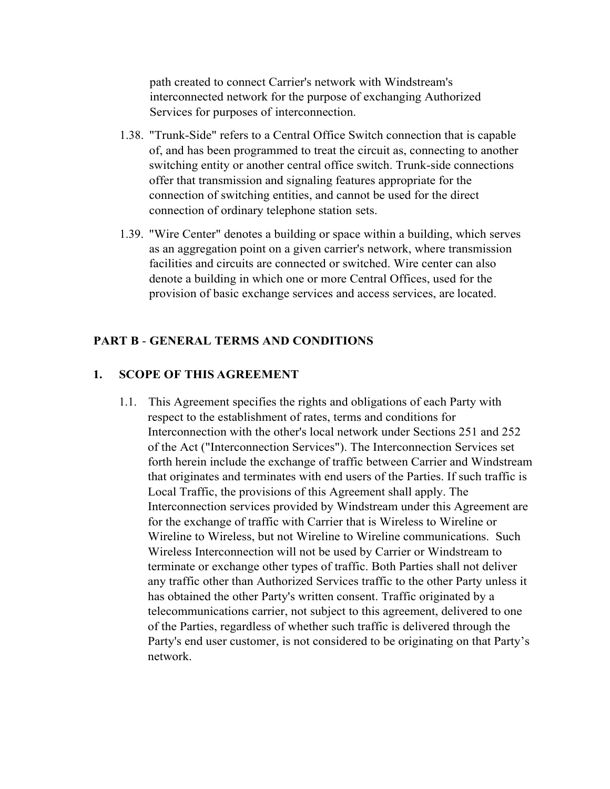path created to connect Carrier's network with Windstream's interconnected network for the purpose of exchanging Authorized Services for purposes of interconnection.

- 1.38. "Trunk-Side" refers to a Central Office Switch connection that is capable of, and has been programmed to treat the circuit as, connecting to another switching entity or another central office switch. Trunk-side connections offer that transmission and signaling features appropriate for the connection of switching entities, and cannot be used for the direct connection of ordinary telephone station sets.
- 1.39. "Wire Center" denotes a building or space within a building, which serves as an aggregation point on a given carrier's network, where transmission facilities and circuits are connected or switched. Wire center can also denote a building in which one or more Central Offices, used for the provision of basic exchange services and access services, are located.

## **PART B** - **GENERAL TERMS AND CONDITIONS**

## **1. SCOPE OF THIS AGREEMENT**

1.1. This Agreement specifies the rights and obligations of each Party with respect to the establishment of rates, terms and conditions for Interconnection with the other's local network under Sections 251 and 252 of the Act ("Interconnection Services"). The Interconnection Services set forth herein include the exchange of traffic between Carrier and Windstream that originates and terminates with end users of the Parties. If such traffic is Local Traffic, the provisions of this Agreement shall apply. The Interconnection services provided by Windstream under this Agreement are for the exchange of traffic with Carrier that is Wireless to Wireline or Wireline to Wireless, but not Wireline to Wireline communications. Such Wireless Interconnection will not be used by Carrier or Windstream to terminate or exchange other types of traffic. Both Parties shall not deliver any traffic other than Authorized Services traffic to the other Party unless it has obtained the other Party's written consent. Traffic originated by a telecommunications carrier, not subject to this agreement, delivered to one of the Parties, regardless of whether such traffic is delivered through the Party's end user customer, is not considered to be originating on that Party's network.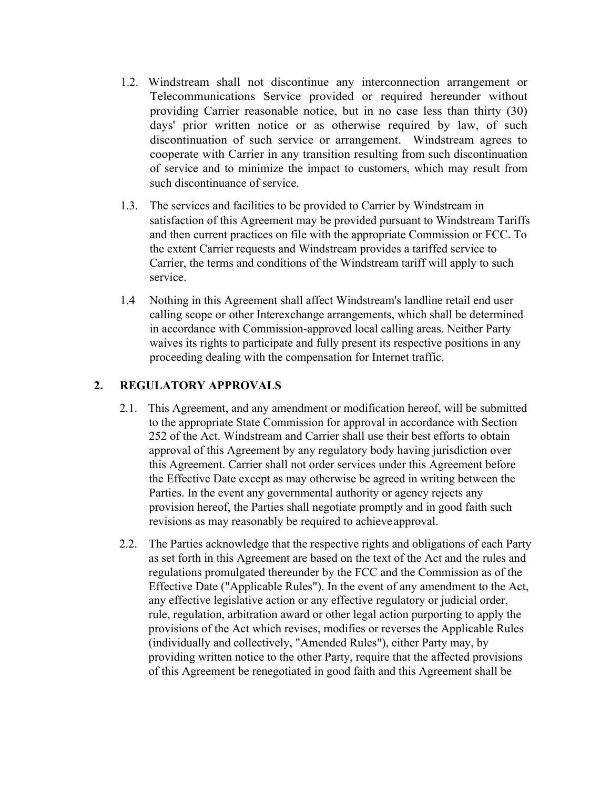- 1.2. Windstream shall not discontinue any interconnection arrangement or Telecommunications Service provided or required hereunder without providing Carrier reasonable notice, but in no case less than thirty (30) days' prior written notice or as otherwise required by law, of such discontinuation of such service or arrangement. Windstream agrees to cooperate with Carrier in any transition resulting from such discontinuation of service and to minimize the impact to customers, which may result from such discontinuance of service.
- 1.3. The services and facilities to be provided to Carrier by Windstream in satisfaction of this Agreement may be provided pursuant to Windstream Tariffs and then current practices on file with the appropriate Commission or FCC. To the extent Carrier requests and Windstream provides a tariffed service to Carrier, the terms and conditions of the Windstream tariff will apply to such service.
- 1.4 Nothing in this Agreement shall affect Windstream's landline retail end user calling scope or other Interexchange arrangements, which shall be determined in accordance with Commission-approved local calling areas. Neither Party waives its rights to participate and fully present its respective positions in any proceeding dealing with the compensation for Internet traffic.

## **2. REGULATORY APPROVALS**

- 2.1. This Agreement, and any amendment or modification hereof, will be submitted to the appropriate State Commission for approval in accordance with Section 252 of the Act. Windstream and Carrier shall use their best efforts to obtain approval of this Agreement by any regulatory body having jurisdiction over this Agreement. Carrier shall not order services under this Agreement before the Effective Date except as may otherwise be agreed in writing between the Parties. In the event any governmental authority or agency rejects any provision hereof, the Parties shall negotiate promptly and in good faith such revisions as may reasonably be required to achieve approval.
- 2.2. The Parties acknowledge that the respective rights and obligations of each Party as set forth in this Agreement are based on the text of the Act and the rules and regulations promulgated thereunder by the FCC and the Commission as of the Effective Date ("Applicable Rules"). In the event of any amendment to the Act, any effective legislative action or any effective regulatory or judicial order, rule, regulation, arbitration award or other legal action purporting to apply the provisions of the Act which revises, modifies or reverses the Applicable Rules (individually and collectively, "Amended Rules"), either Party may, by providing written notice to the other Party, require that the affected provisions of this Agreement be renegotiated in good faith and this Agreement shall be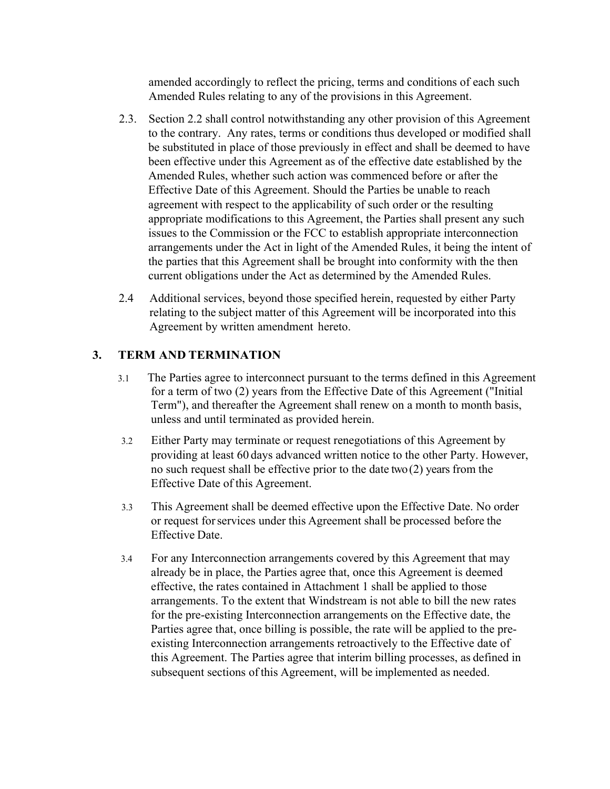amended accordingly to reflect the pricing, terms and conditions of each such Amended Rules relating to any of the provisions in this Agreement.

- 2.3. Section 2.2 shall control notwithstanding any other provision of this Agreement to the contrary. Any rates, terms or conditions thus developed or modified shall be substituted in place of those previously in effect and shall be deemed to have been effective under this Agreement as of the effective date established by the Amended Rules, whether such action was commenced before or after the Effective Date of this Agreement. Should the Parties be unable to reach agreement with respect to the applicability of such order or the resulting appropriate modifications to this Agreement, the Parties shall present any such issues to the Commission or the FCC to establish appropriate interconnection arrangements under the Act in light of the Amended Rules, it being the intent of the parties that this Agreement shall be brought into conformity with the then current obligations under the Act as determined by the Amended Rules.
- 2.4 Additional services, beyond those specified herein, requested by either Party relating to the subject matter of this Agreement will be incorporated into this Agreement by written amendment hereto.

## **3. TERM AND TERMINATION**

- 3.1 The Parties agree to interconnect pursuant to the terms defined in this Agreement for a term of two (2) years from the Effective Date of this Agreement ("Initial Term"), and thereafter the Agreement shall renew on a month to month basis, unless and until terminated as provided herein.
- 3.2 Either Party may terminate or request renegotiations of this Agreement by providing at least 60 days advanced written notice to the other Party. However, no such request shall be effective prior to the date two (2) years from the Effective Date of this Agreement.
- 3.3 This Agreement shall be deemed effective upon the Effective Date. No order or request for services under this Agreement shall be processed before the Effective Date.
- 3.4 For any Interconnection arrangements covered by this Agreement that may already be in place, the Parties agree that, once this Agreement is deemed effective, the rates contained in Attachment 1 shall be applied to those arrangements. To the extent that Windstream is not able to bill the new rates for the pre-existing Interconnection arrangements on the Effective date, the Parties agree that, once billing is possible, the rate will be applied to the preexisting Interconnection arrangements retroactively to the Effective date of this Agreement. The Parties agree that interim billing processes, as defined in subsequent sections of this Agreement, will be implemented as needed.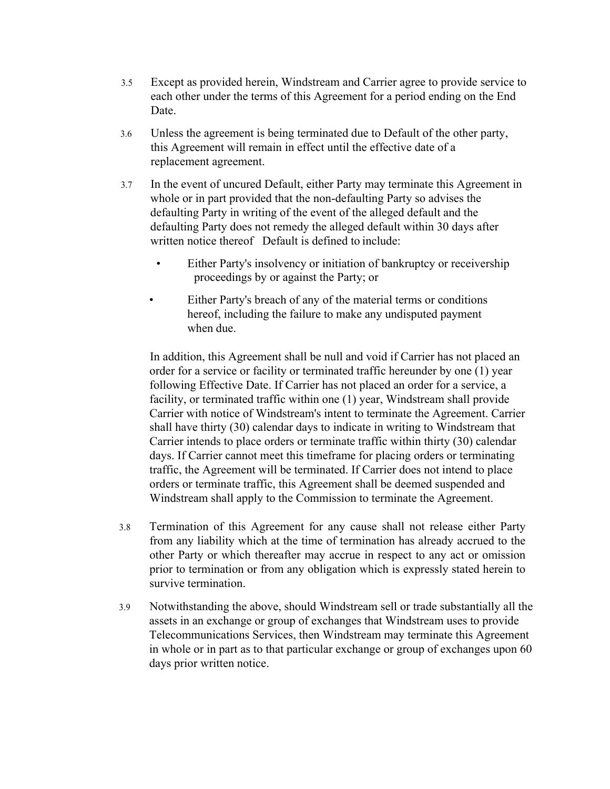- 3.5 Except as provided herein, Windstream and Carrier agree to provide service to each other under the terms of this Agreement for a period ending on the End Date.
- 3.6 Unless the agreement is being terminated due to Default of the other party, this Agreement will remain in effect until the effective date of a replacement agreement.
- 3.7 In the event of uncured Default, either Party may terminate this Agreement in whole or in part provided that the non-defaulting Party so advises the defaulting Party in writing of the event of the alleged default and the defaulting Party does not remedy the alleged default within 30 days after written notice thereof Default is defined to include:
	- Either Party's insolvency or initiation of bankruptcy or receivership proceedings by or against the Party; or
	- Either Party's breach of any of the material terms or conditions hereof, including the failure to make any undisputed payment when due.

In addition, this Agreement shall be null and void if Carrier has not placed an order for a service or facility or terminated traffic hereunder by one (1) year following Effective Date. If Carrier has not placed an order for a service, a facility, or terminated traffic within one (1) year, Windstream shall provide Carrier with notice of Windstream's intent to terminate the Agreement. Carrier shall have thirty (30) calendar days to indicate in writing to Windstream that Carrier intends to place orders or terminate traffic within thirty (30) calendar days. If Carrier cannot meet this timeframe for placing orders or terminating traffic, the Agreement will be terminated. If Carrier does not intend to place orders or terminate traffic, this Agreement shall be deemed suspended and Windstream shall apply to the Commission to terminate the Agreement.

- 3.8 Termination of this Agreement for any cause shall not release either Party from any liability which at the time of termination has already accrued to the other Party or which thereafter may accrue in respect to any act or omission prior to termination or from any obligation which is expressly stated herein to survive termination.
- 3.9 Notwithstanding the above, should Windstream sell or trade substantially all the assets in an exchange or group of exchanges that Windstream uses to provide Telecommunications Services, then Windstream may terminate this Agreement in whole or in part as to that particular exchange or group of exchanges upon 60 days prior written notice.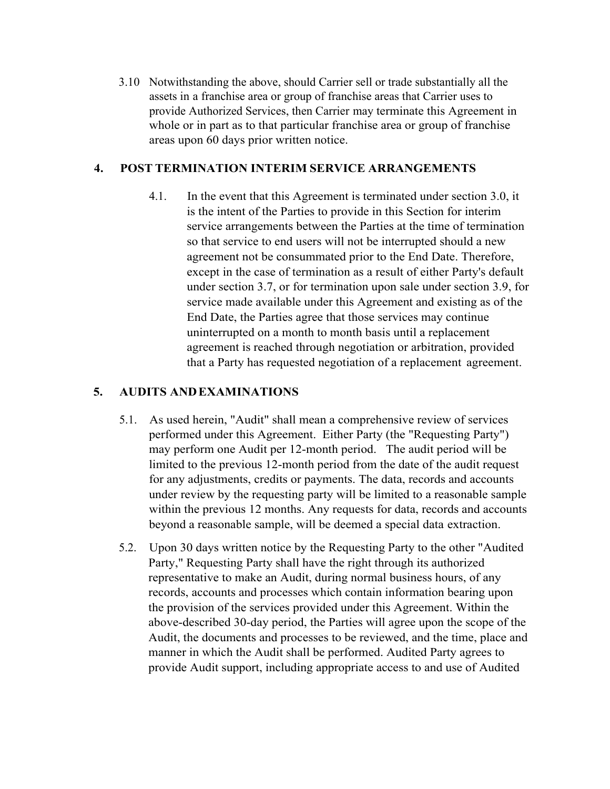3.10 Notwithstanding the above, should Carrier sell or trade substantially all the assets in a franchise area or group of franchise areas that Carrier uses to provide Authorized Services, then Carrier may terminate this Agreement in whole or in part as to that particular franchise area or group of franchise areas upon 60 days prior written notice.

## **4. POST TERMINATION INTERIM SERVICE ARRANGEMENTS**

4.1. In the event that this Agreement is terminated under section 3.0, it is the intent of the Parties to provide in this Section for interim service arrangements between the Parties at the time of termination so that service to end users will not be interrupted should a new agreement not be consummated prior to the End Date. Therefore, except in the case of termination as a result of either Party's default under section 3.7, or for termination upon sale under section 3.9, for service made available under this Agreement and existing as of the End Date, the Parties agree that those services may continue uninterrupted on a month to month basis until a replacement agreement is reached through negotiation or arbitration, provided that a Party has requested negotiation of a replacement agreement.

## **5. AUDITS AND EXAMINATIONS**

- 5.1. As used herein, "Audit" shall mean a comprehensive review of services performed under this Agreement. Either Party (the "Requesting Party") may perform one Audit per 12-month period. The audit period will be limited to the previous 12-month period from the date of the audit request for any adjustments, credits or payments. The data, records and accounts under review by the requesting party will be limited to a reasonable sample within the previous 12 months. Any requests for data, records and accounts beyond a reasonable sample, will be deemed a special data extraction.
- 5.2. Upon 30 days written notice by the Requesting Party to the other "Audited Party," Requesting Party shall have the right through its authorized representative to make an Audit, during normal business hours, of any records, accounts and processes which contain information bearing upon the provision of the services provided under this Agreement. Within the above-described 30-day period, the Parties will agree upon the scope of the Audit, the documents and processes to be reviewed, and the time, place and manner in which the Audit shall be performed. Audited Party agrees to provide Audit support, including appropriate access to and use of Audited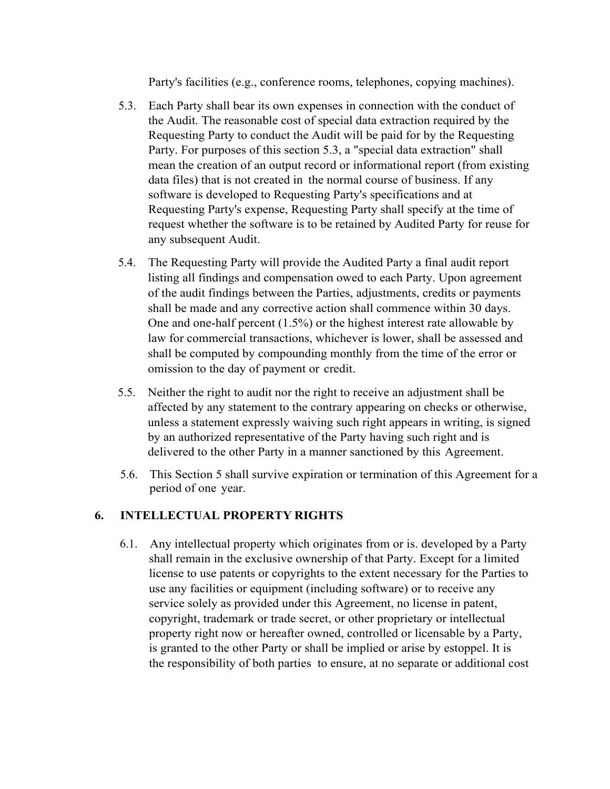Party's facilities (e.g., conference rooms, telephones, copying machines).

- 5.3. Each Party shall bear its own expenses in connection with the conduct of the Audit. The reasonable cost of special data extraction required by the Requesting Party to conduct the Audit will be paid for by the Requesting Party. For purposes of this section 5.3, a "special data extraction" shall mean the creation of an output record or informational report (from existing data files) that is not created in the normal course of business. If any software is developed to Requesting Party's specifications and at Requesting Party's expense, Requesting Party shall specify at the time of request whether the software is to be retained by Audited Party for reuse for any subsequent Audit.
- 5.4. The Requesting Party will provide the Audited Party a final audit report listing all findings and compensation owed to each Party. Upon agreement of the audit findings between the Parties, adjustments, credits or payments shall be made and any corrective action shall commence within 30 days. One and one-half percent (1.5%) or the highest interest rate allowable by law for commercial transactions, whichever is lower, shall be assessed and shall be computed by compounding monthly from the time of the error or omission to the day of payment or credit.
- 5.5. Neither the right to audit nor the right to receive an adjustment shall be affected by any statement to the contrary appearing on checks or otherwise, unless a statement expressly waiving such right appears in writing, is signed by an authorized representative of the Party having such right and is delivered to the other Party in a manner sanctioned by this Agreement.
- 5.6. This Section 5 shall survive expiration or termination of this Agreement for a period of one year.

## **6. INTELLECTUAL PROPERTY RIGHTS**

6.1. Any intellectual property which originates from or is. developed by a Party shall remain in the exclusive ownership of that Party. Except for a limited license to use patents or copyrights to the extent necessary for the Parties to use any facilities or equipment (including software) or to receive any service solely as provided under this Agreement, no license in patent, copyright, trademark or trade secret, or other proprietary or intellectual property right now or hereafter owned, controlled or licensable by a Party, is granted to the other Party or shall be implied or arise by estoppel. It is the responsibility of both parties to ensure, at no separate or additional cost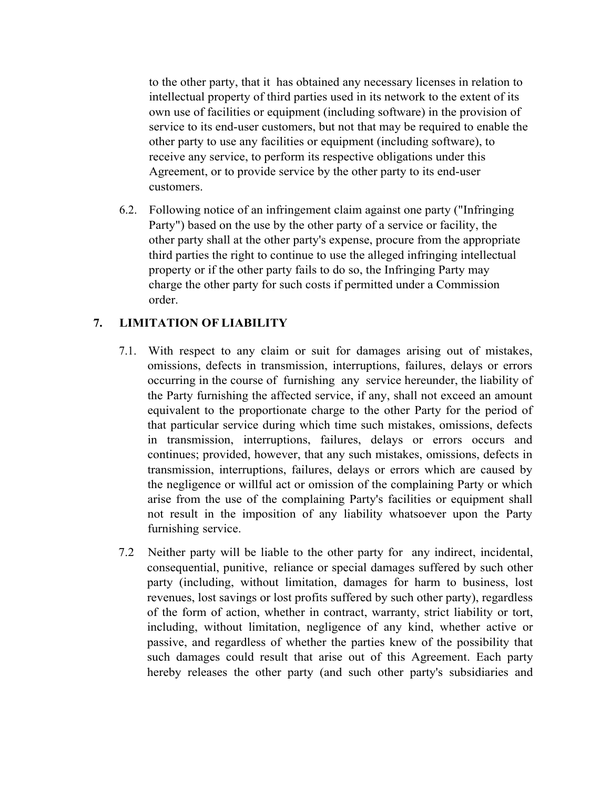to the other party, that it has obtained any necessary licenses in relation to intellectual property of third parties used in its network to the extent of its own use of facilities or equipment (including software) in the provision of service to its end-user customers, but not that may be required to enable the other party to use any facilities or equipment (including software), to receive any service, to perform its respective obligations under this Agreement, or to provide service by the other party to its end-user customers.

6.2. Following notice of an infringement claim against one party ("Infringing Party") based on the use by the other party of a service or facility, the other party shall at the other party's expense, procure from the appropriate third parties the right to continue to use the alleged infringing intellectual property or if the other party fails to do so, the Infringing Party may charge the other party for such costs if permitted under a Commission order.

## **7. LIMITATION OF LIABILITY**

- 7.1. With respect to any claim or suit for damages arising out of mistakes, omissions, defects in transmission, interruptions, failures, delays or errors occurring in the course of furnishing any service hereunder, the liability of the Party furnishing the affected service, if any, shall not exceed an amount equivalent to the proportionate charge to the other Party for the period of that particular service during which time such mistakes, omissions, defects in transmission, interruptions, failures, delays or errors occurs and continues; provided, however, that any such mistakes, omissions, defects in transmission, interruptions, failures, delays or errors which are caused by the negligence or willful act or omission of the complaining Party or which arise from the use of the complaining Party's facilities or equipment shall not result in the imposition of any liability whatsoever upon the Party furnishing service.
- 7.2 Neither party will be liable to the other party for any indirect, incidental, consequential, punitive, reliance or special damages suffered by such other party (including, without limitation, damages for harm to business, lost revenues, lost savings or lost profits suffered by such other party), regardless of the form of action, whether in contract, warranty, strict liability or tort, including, without limitation, negligence of any kind, whether active or passive, and regardless of whether the parties knew of the possibility that such damages could result that arise out of this Agreement. Each party hereby releases the other party (and such other party's subsidiaries and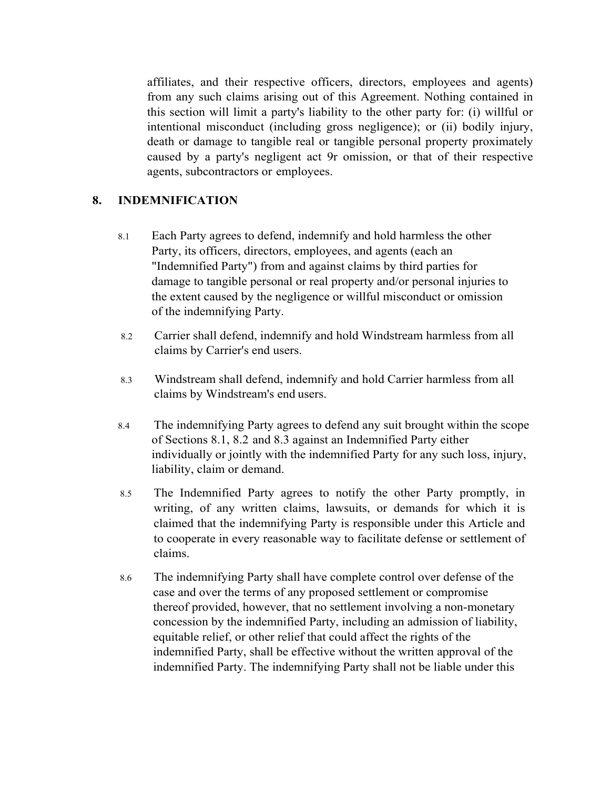affiliates, and their respective officers, directors, employees and agents) from any such claims arising out of this Agreement. Nothing contained in this section will limit a party's liability to the other party for: (i) willful or intentional misconduct (including gross negligence); or (ii) bodily injury, death or damage to tangible real or tangible personal property proximately caused by a party's negligent act 9r omission, or that of their respective agents, subcontractors or employees.

## **8. INDEMNIFICATION**

- 8.1 Each Party agrees to defend, indemnify and hold harmless the other Party, its officers, directors, employees, and agents (each an "Indemnified Party") from and against claims by third parties for damage to tangible personal or real property and/or personal injuries to the extent caused by the negligence or willful misconduct or omission of the indemnifying Party.
- 8.2 Carrier shall defend, indemnify and hold Windstream harmless from all claims by Carrier's end users.
- 8.3 Windstream shall defend, indemnify and hold Carrier harmless from all claims by Windstream's end users.
- 8.4 The indemnifying Party agrees to defend any suit brought within the scope of Sections 8.1, 8.2 and 8.3 against an Indemnified Party either individually or jointly with the indemnified Party for any such loss, injury, liability, claim or demand.
- 8.5 The Indemnified Party agrees to notify the other Party promptly, in writing, of any written claims, lawsuits, or demands for which it is claimed that the indemnifying Party is responsible under this Article and to cooperate in every reasonable way to facilitate defense or settlement of claims.
- 8.6 The indemnifying Party shall have complete control over defense of the case and over the terms of any proposed settlement or compromise thereof provided, however, that no settlement involving a non-monetary concession by the indemnified Party, including an admission of liability, equitable relief, or other relief that could affect the rights of the indemnified Party, shall be effective without the written approval of the indemnified Party. The indemnifying Party shall not be liable under this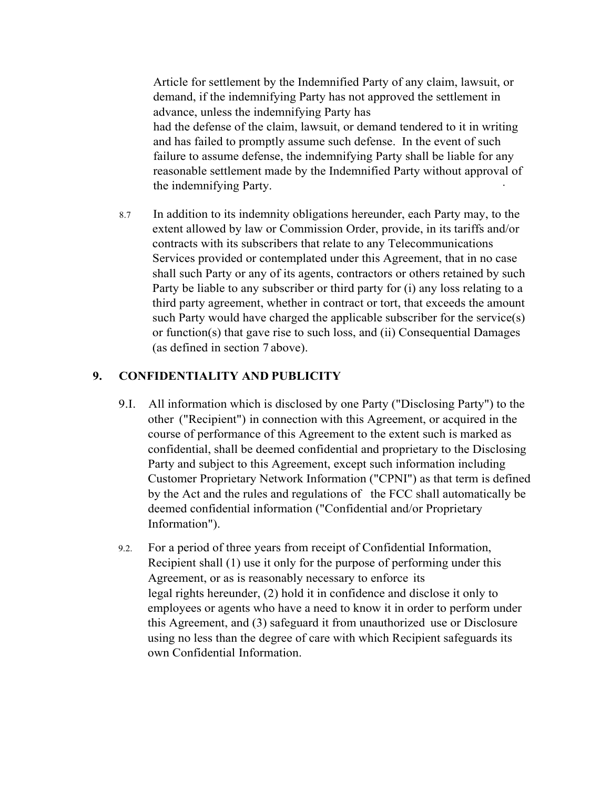Article for settlement by the Indemnified Party of any claim, lawsuit, or demand, if the indemnifying Party has not approved the settlement in advance, unless the indemnifying Party has had the defense of the claim, lawsuit, or demand tendered to it in writing and has failed to promptly assume such defense. In the event of such failure to assume defense, the indemnifying Party shall be liable for any reasonable settlement made by the Indemnified Party without approval of the indemnifying Party.

8.7 In addition to its indemnity obligations hereunder, each Party may, to the extent allowed by law or Commission Order, provide, in its tariffs and/or contracts with its subscribers that relate to any Telecommunications Services provided or contemplated under this Agreement, that in no case shall such Party or any of its agents, contractors or others retained by such Party be liable to any subscriber or third party for (i) any loss relating to a third party agreement, whether in contract or tort, that exceeds the amount such Party would have charged the applicable subscriber for the service(s) or function(s) that gave rise to such loss, and (ii) Consequential Damages (as defined in section 7 above).

## **9. CONFIDENTIALITY AND PUBLICITY**

- 9.I. All information which is disclosed by one Party ("Disclosing Party") to the other ("Recipient") in connection with this Agreement, or acquired in the course of performance of this Agreement to the extent such is marked as confidential, shall be deemed confidential and proprietary to the Disclosing Party and subject to this Agreement, except such information including Customer Proprietary Network Information ("CPNI") as that term is defined by the Act and the rules and regulations of the FCC shall automatically be deemed confidential information ("Confidential and/or Proprietary Information").
- 9.2. For a period of three years from receipt of Confidential Information, Recipient shall (1) use it only for the purpose of performing under this Agreement, or as is reasonably necessary to enforce its legal rights hereunder, (2) hold it in confidence and disclose it only to employees or agents who have a need to know it in order to perform under this Agreement, and (3) safeguard it from unauthorized use or Disclosure using no less than the degree of care with which Recipient safeguards its own Confidential Information.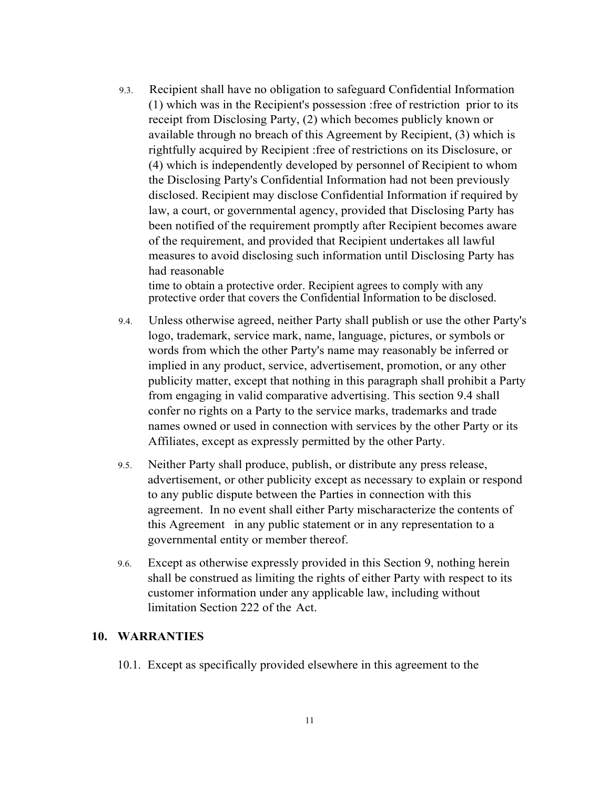9.3. Recipient shall have no obligation to safeguard Confidential Information (1) which was in the Recipient's possession :free of restriction prior to its receipt from Disclosing Party, (2) which becomes publicly known or available through no breach of this Agreement by Recipient, (3) which is rightfully acquired by Recipient :free of restrictions on its Disclosure, or (4) which is independently developed by personnel of Recipient to whom the Disclosing Party's Confidential Information had not been previously disclosed. Recipient may disclose Confidential Information if required by law, a court, or governmental agency, provided that Disclosing Party has been notified of the requirement promptly after Recipient becomes aware of the requirement, and provided that Recipient undertakes all lawful measures to avoid disclosing such information until Disclosing Party has had reasonable

time to obtain a protective order. Recipient agrees to comply with any protective order that covers the Confidential Information to be disclosed.

- 9.4. Unless otherwise agreed, neither Party shall publish or use the other Party's logo, trademark, service mark, name, language, pictures, or symbols or words from which the other Party's name may reasonably be inferred or implied in any product, service, advertisement, promotion, or any other publicity matter, except that nothing in this paragraph shall prohibit a Party from engaging in valid comparative advertising. This section 9.4 shall confer no rights on a Party to the service marks, trademarks and trade names owned or used in connection with services by the other Party or its Affiliates, except as expressly permitted by the other Party.
- 9.5. Neither Party shall produce, publish, or distribute any press release, advertisement, or other publicity except as necessary to explain or respond to any public dispute between the Parties in connection with this agreement. In no event shall either Party mischaracterize the contents of this Agreement in any public statement or in any representation to a governmental entity or member thereof.
- 9.6. Except as otherwise expressly provided in this Section 9, nothing herein shall be construed as limiting the rights of either Party with respect to its customer information under any applicable law, including without limitation Section 222 of the Act.

#### **10. WARRANTIES**

10.1. Except as specifically provided elsewhere in this agreement to the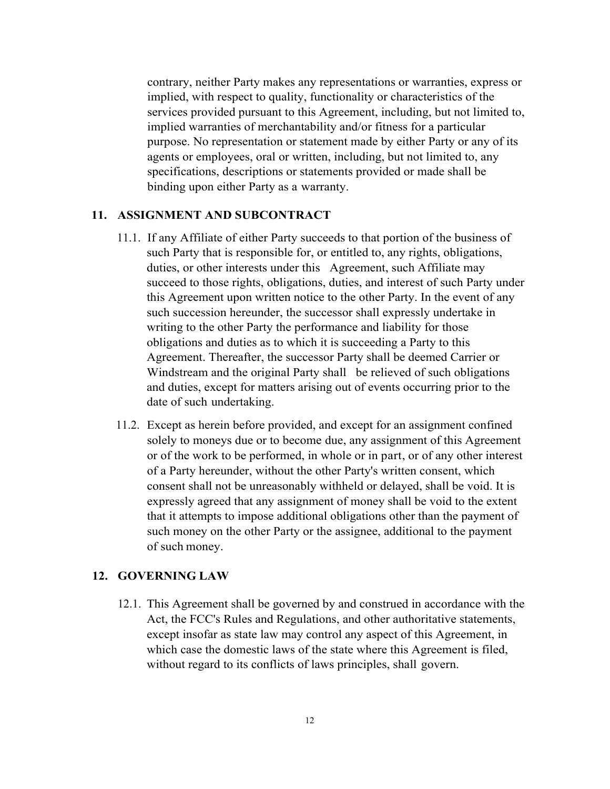contrary, neither Party makes any representations or warranties, express or implied, with respect to quality, functionality or characteristics of the services provided pursuant to this Agreement, including, but not limited to, implied warranties of merchantability and/or fitness for a particular purpose. No representation or statement made by either Party or any of its agents or employees, oral or written, including, but not limited to, any specifications, descriptions or statements provided or made shall be binding upon either Party as a warranty.

### **11. ASSIGNMENT AND SUBCONTRACT**

- 11.1. If any Affiliate of either Party succeeds to that portion of the business of such Party that is responsible for, or entitled to, any rights, obligations, duties, or other interests under this Agreement, such Affiliate may succeed to those rights, obligations, duties, and interest of such Party under this Agreement upon written notice to the other Party. In the event of any such succession hereunder, the successor shall expressly undertake in writing to the other Party the performance and liability for those obligations and duties as to which it is succeeding a Party to this Agreement. Thereafter, the successor Party shall be deemed Carrier or Windstream and the original Party shall be relieved of such obligations and duties, except for matters arising out of events occurring prior to the date of such undertaking.
- 11.2. Except as herein before provided, and except for an assignment confined solely to moneys due or to become due, any assignment of this Agreement or of the work to be performed, in whole or in part, or of any other interest of a Party hereunder, without the other Party's written consent, which consent shall not be unreasonably withheld or delayed, shall be void. It is expressly agreed that any assignment of money shall be void to the extent that it attempts to impose additional obligations other than the payment of such money on the other Party or the assignee, additional to the payment of such money.

### **12. GOVERNING LAW**

12.1. This Agreement shall be governed by and construed in accordance with the Act, the FCC's Rules and Regulations, and other authoritative statements, except insofar as state law may control any aspect of this Agreement, in which case the domestic laws of the state where this Agreement is filed, without regard to its conflicts of laws principles, shall govern.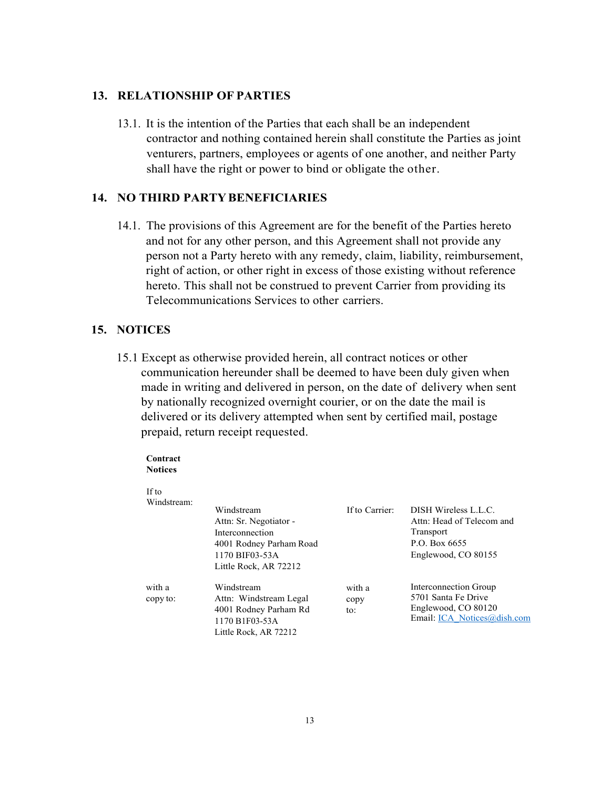#### **13. RELATIONSHIP OF PARTIES**

13.1. It is the intention of the Parties that each shall be an independent contractor and nothing contained herein shall constitute the Parties as joint venturers, partners, employees or agents of one another, and neither Party shall have the right or power to bind or obligate the other.

#### **14. NO THIRD PARTY BENEFICIARIES**

14.1. The provisions of this Agreement are for the benefit of the Parties hereto and not for any other person, and this Agreement shall not provide any person not a Party hereto with any remedy, claim, liability, reimbursement, right of action, or other right in excess of those existing without reference hereto. This shall not be construed to prevent Carrier from providing its Telecommunications Services to other carriers.

### **15. NOTICES**

15.1 Except as otherwise provided herein, all contract notices or other communication hereunder shall be deemed to have been duly given when made in writing and delivered in person, on the date of delivery when sent by nationally recognized overnight courier, or on the date the mail is delivered or its delivery attempted when sent by certified mail, postage prepaid, return receipt requested.

#### **Contract Notices**

If  $t_0$ 

| 11 W               |                                                                                                                               |                       |                                                                                                        |
|--------------------|-------------------------------------------------------------------------------------------------------------------------------|-----------------------|--------------------------------------------------------------------------------------------------------|
| Windstream:        | Windstream<br>Attn: Sr. Negotiator -<br>Interconnection<br>4001 Rodney Parham Road<br>1170 BIF03-53A<br>Little Rock, AR 72212 | If to Carrier:        | DISH Wireless L.L.C.<br>Attn: Head of Telecom and<br>Transport<br>P.O. Box 6655<br>Englewood, CO 80155 |
| with a<br>copy to: | Windstream<br>Attn: Windstream Legal<br>4001 Rodney Parham Rd<br>1170 B1F03-53A<br>Little Rock, AR 72212                      | with a<br>copy<br>to: | Interconnection Group<br>5701 Santa Fe Drive<br>Englewood, CO 80120<br>Email: ICA Notices@dish.com     |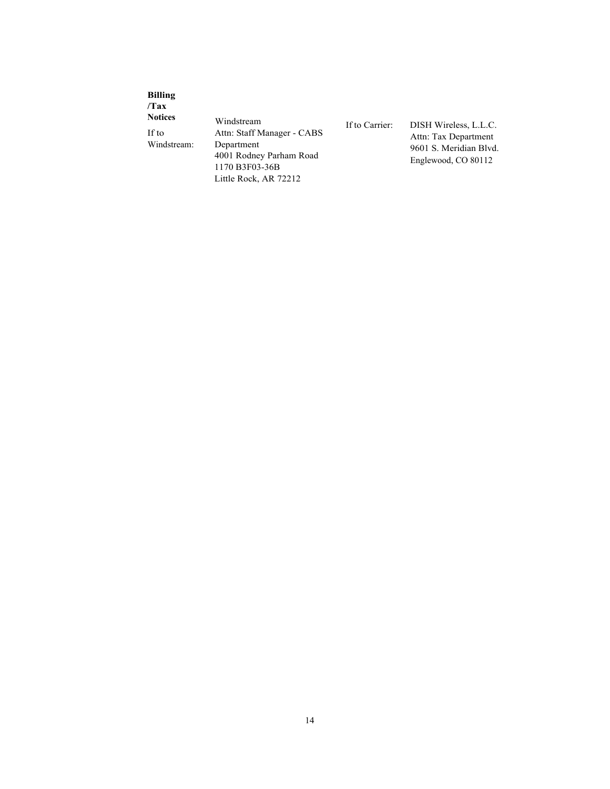| <b>Billing</b><br>Tax<br><b>Notices</b><br>If to<br>Windstream: | Windstream<br>Attn: Staff Manager - CABS<br>Department<br>4001 Rodney Parham Road<br>1170 B3F03-36B<br>Little Rock, AR 72212 | If to Carrier: | DISH Wireless, L.L.C.<br>Attn: Tax Department<br>9601 S. Meridian Blvd.<br>Englewood, CO 80112 |
|-----------------------------------------------------------------|------------------------------------------------------------------------------------------------------------------------------|----------------|------------------------------------------------------------------------------------------------|
|-----------------------------------------------------------------|------------------------------------------------------------------------------------------------------------------------------|----------------|------------------------------------------------------------------------------------------------|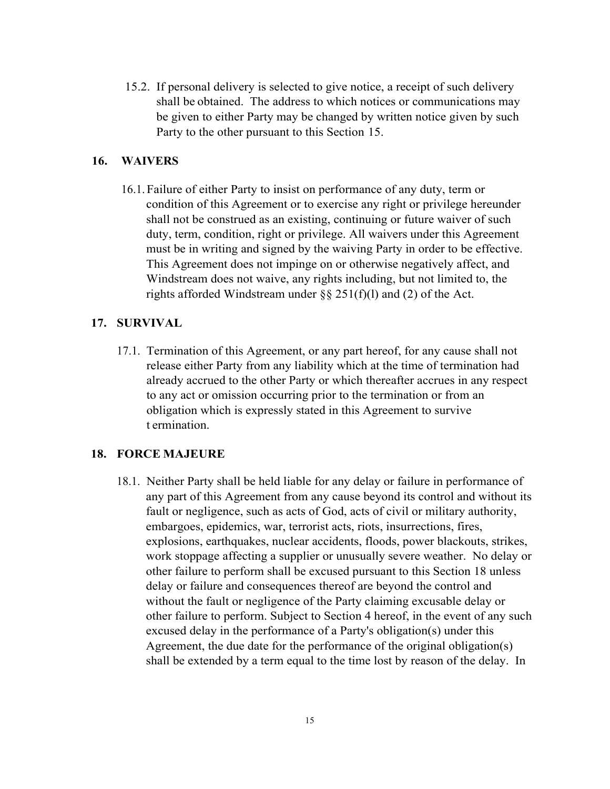15.2. If personal delivery is selected to give notice, a receipt of such delivery shall be obtained. The address to which notices or communications may be given to either Party may be changed by written notice given by such Party to the other pursuant to this Section 15.

### **16. WAIVERS**

16.1. Failure of either Party to insist on performance of any duty, term or condition of this Agreement or to exercise any right or privilege hereunder shall not be construed as an existing, continuing or future waiver of such duty, term, condition, right or privilege. All waivers under this Agreement must be in writing and signed by the waiving Party in order to be effective. This Agreement does not impinge on or otherwise negatively affect, and Windstream does not waive, any rights including, but not limited to, the rights afforded Windstream under  $\S\S 251(f)(1)$  and (2) of the Act.

### **17. SURVIVAL**

17.1. Termination of this Agreement, or any part hereof, for any cause shall not release either Party from any liability which at the time of termination had already accrued to the other Party or which thereafter accrues in any respect to any act or omission occurring prior to the termination or from an obligation which is expressly stated in this Agreement to survive t ermination.

### **18. FORCE MAJEURE**

18.1. Neither Party shall be held liable for any delay or failure in performance of any part of this Agreement from any cause beyond its control and without its fault or negligence, such as acts of God, acts of civil or military authority, embargoes, epidemics, war, terrorist acts, riots, insurrections, fires, explosions, earthquakes, nuclear accidents, floods, power blackouts, strikes, work stoppage affecting a supplier or unusually severe weather. No delay or other failure to perform shall be excused pursuant to this Section 18 unless delay or failure and consequences thereof are beyond the control and without the fault or negligence of the Party claiming excusable delay or other failure to perform. Subject to Section 4 hereof, in the event of any such excused delay in the performance of a Party's obligation(s) under this Agreement, the due date for the performance of the original obligation(s) shall be extended by a term equal to the time lost by reason of the delay. In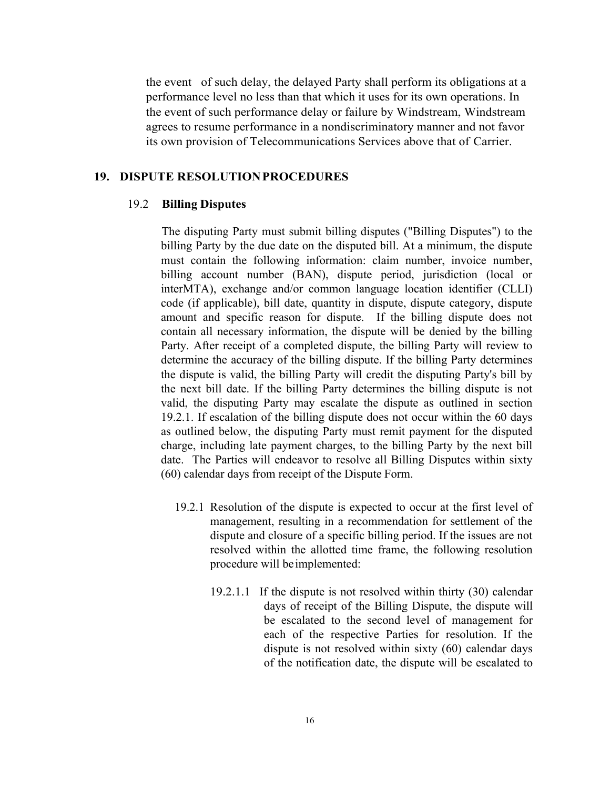the event of such delay, the delayed Party shall perform its obligations at a performance level no less than that which it uses for its own operations. In the event of such performance delay or failure by Windstream, Windstream agrees to resume performance in a nondiscriminatory manner and not favor its own provision of Telecommunications Services above that of Carrier.

### **19. DISPUTE RESOLUTION PROCEDURES**

### 19.2 **Billing Disputes**

The disputing Party must submit billing disputes ("Billing Disputes") to the billing Party by the due date on the disputed bill. At a minimum, the dispute must contain the following information: claim number, invoice number, billing account number (BAN), dispute period, jurisdiction (local or interMTA), exchange and/or common language location identifier (CLLI) code (if applicable), bill date, quantity in dispute, dispute category, dispute amount and specific reason for dispute. If the billing dispute does not contain all necessary information, the dispute will be denied by the billing Party. After receipt of a completed dispute, the billing Party will review to determine the accuracy of the billing dispute. If the billing Party determines the dispute is valid, the billing Party will credit the disputing Party's bill by the next bill date. If the billing Party determines the billing dispute is not valid, the disputing Party may escalate the dispute as outlined in section 19.2.1. If escalation of the billing dispute does not occur within the 60 days as outlined below, the disputing Party must remit payment for the disputed charge, including late payment charges, to the billing Party by the next bill date. The Parties will endeavor to resolve all Billing Disputes within sixty (60) calendar days from receipt of the Dispute Form.

- 19.2.1 Resolution of the dispute is expected to occur at the first level of management, resulting in a recommendation for settlement of the dispute and closure of a specific billing period. If the issues are not resolved within the allotted time frame, the following resolution procedure will be implemented:
	- 19.2.1.1 If the dispute is not resolved within thirty (30) calendar days of receipt of the Billing Dispute, the dispute will be escalated to the second level of management for each of the respective Parties for resolution. If the dispute is not resolved within sixty (60) calendar days of the notification date, the dispute will be escalated to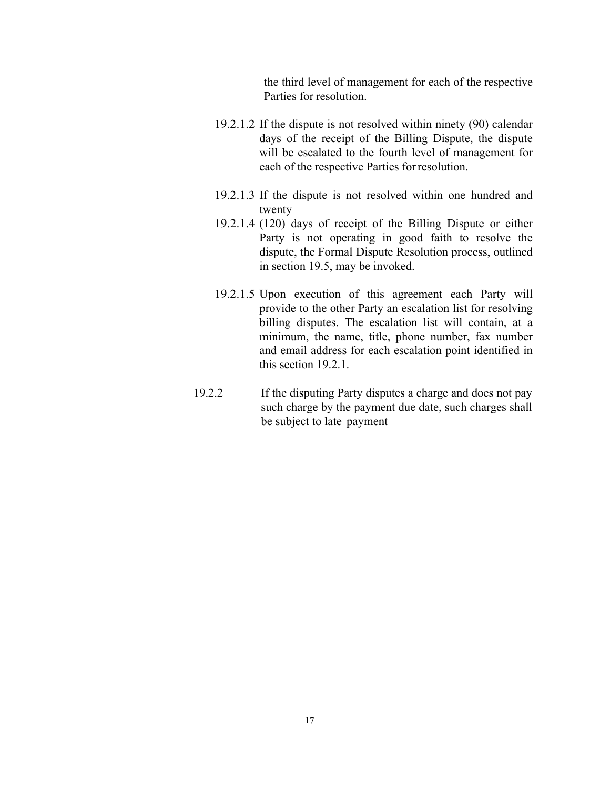the third level of management for each of the respective Parties for resolution.

- 19.2.1.2 If the dispute is not resolved within ninety (90) calendar days of the receipt of the Billing Dispute, the dispute will be escalated to the fourth level of management for each of the respective Parties for resolution.
- 19.2.1.3 If the dispute is not resolved within one hundred and twenty
- 19.2.1.4 (120) days of receipt of the Billing Dispute or either Party is not operating in good faith to resolve the dispute, the Formal Dispute Resolution process, outlined in section 19.5, may be invoked.
- 19.2.1.5 Upon execution of this agreement each Party will provide to the other Party an escalation list for resolving billing disputes. The escalation list will contain, at a minimum, the name, title, phone number, fax number and email address for each escalation point identified in this section 19.2.1.
- 19.2.2 If the disputing Party disputes a charge and does not pay such charge by the payment due date, such charges shall be subject to late payment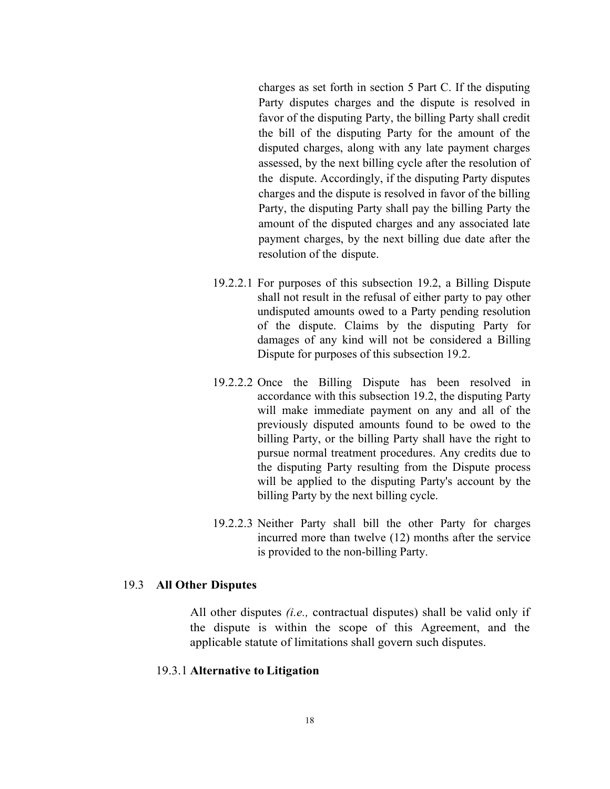charges as set forth in section 5 Part C. If the disputing Party disputes charges and the dispute is resolved in favor of the disputing Party, the billing Party shall credit the bill of the disputing Party for the amount of the disputed charges, along with any late payment charges assessed, by the next billing cycle after the resolution of the dispute. Accordingly, if the disputing Party disputes charges and the dispute is resolved in favor of the billing Party, the disputing Party shall pay the billing Party the amount of the disputed charges and any associated late payment charges, by the next billing due date after the resolution of the dispute.

- 19.2.2.1 For purposes of this subsection 19.2, a Billing Dispute shall not result in the refusal of either party to pay other undisputed amounts owed to a Party pending resolution of the dispute. Claims by the disputing Party for damages of any kind will not be considered a Billing Dispute for purposes of this subsection 19.2.
- 19.2.2.2 Once the Billing Dispute has been resolved in accordance with this subsection 19.2, the disputing Party will make immediate payment on any and all of the previously disputed amounts found to be owed to the billing Party, or the billing Party shall have the right to pursue normal treatment procedures. Any credits due to the disputing Party resulting from the Dispute process will be applied to the disputing Party's account by the billing Party by the next billing cycle.
- 19.2.2.3 Neither Party shall bill the other Party for charges incurred more than twelve (12) months after the service is provided to the non-billing Party.

#### 19.3 **All Other Disputes**

All other disputes *(i.e.,* contractual disputes) shall be valid only if the dispute is within the scope of this Agreement, and the applicable statute of limitations shall govern such disputes.

#### 19.3. l **Alternative to Litigation**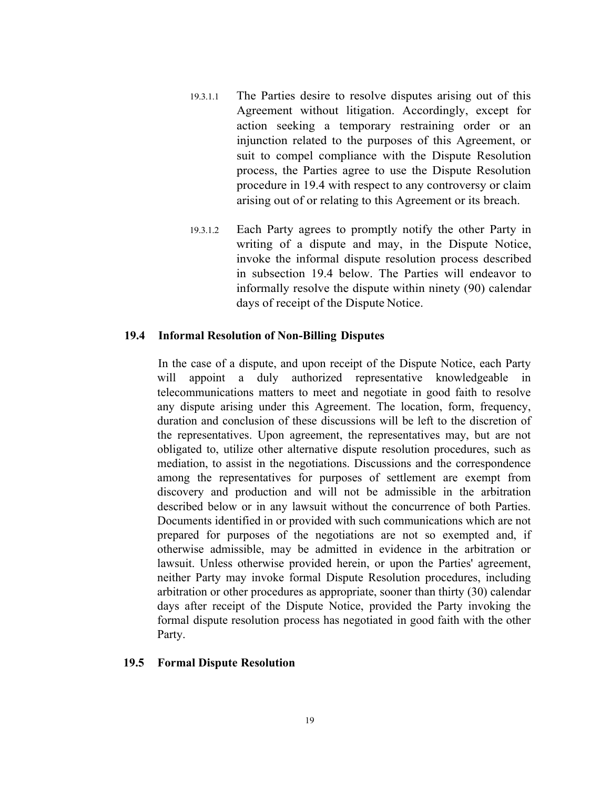- 19.3.1.1 The Parties desire to resolve disputes arising out of this Agreement without litigation. Accordingly, except for action seeking a temporary restraining order or an injunction related to the purposes of this Agreement, or suit to compel compliance with the Dispute Resolution process, the Parties agree to use the Dispute Resolution procedure in 19.4 with respect to any controversy or claim arising out of or relating to this Agreement or its breach.
- 19.3.1.2 Each Party agrees to promptly notify the other Party in writing of a dispute and may, in the Dispute Notice, invoke the informal dispute resolution process described in subsection 19.4 below. The Parties will endeavor to informally resolve the dispute within ninety (90) calendar days of receipt of the Dispute Notice.

### **19.4 Informal Resolution of Non-Billing Disputes**

In the case of a dispute, and upon receipt of the Dispute Notice, each Party will appoint a duly authorized representative knowledgeable in telecommunications matters to meet and negotiate in good faith to resolve any dispute arising under this Agreement. The location, form, frequency, duration and conclusion of these discussions will be left to the discretion of the representatives. Upon agreement, the representatives may, but are not obligated to, utilize other alternative dispute resolution procedures, such as mediation, to assist in the negotiations. Discussions and the correspondence among the representatives for purposes of settlement are exempt from discovery and production and will not be admissible in the arbitration described below or in any lawsuit without the concurrence of both Parties. Documents identified in or provided with such communications which are not prepared for purposes of the negotiations are not so exempted and, if otherwise admissible, may be admitted in evidence in the arbitration or lawsuit. Unless otherwise provided herein, or upon the Parties' agreement, neither Party may invoke formal Dispute Resolution procedures, including arbitration or other procedures as appropriate, sooner than thirty (30) calendar days after receipt of the Dispute Notice, provided the Party invoking the formal dispute resolution process has negotiated in good faith with the other Party.

#### **19.5 Formal Dispute Resolution**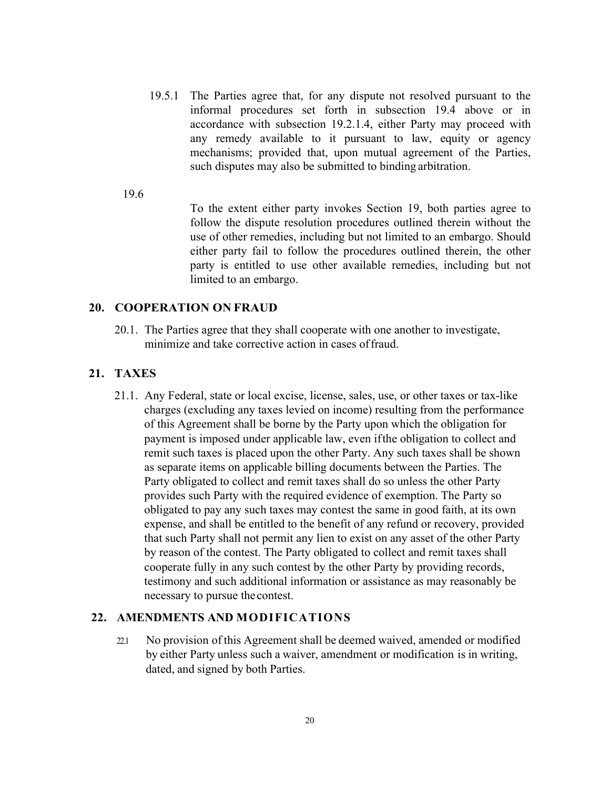- 19.5.1 The Parties agree that, for any dispute not resolved pursuant to the informal procedures set forth in subsection 19.4 above or in accordance with subsection 19.2.1.4, either Party may proceed with any remedy available to it pursuant to law, equity or agency mechanisms; provided that, upon mutual agreement of the Parties, such disputes may also be submitted to binding arbitration.
- 19.6

To the extent either party invokes Section 19, both parties agree to follow the dispute resolution procedures outlined therein without the use of other remedies, including but not limited to an embargo. Should either party fail to follow the procedures outlined therein, the other party is entitled to use other available remedies, including but not limited to an embargo.

## **20. COOPERATION ON FRAUD**

20.1. The Parties agree that they shall cooperate with one another to investigate, minimize and take corrective action in cases of fraud.

### **21. TAXES**

21.1. Any Federal, state or local excise, license, sales, use, or other taxes or tax-like charges (excluding any taxes levied on income) resulting from the performance of this Agreement shall be borne by the Party upon which the obligation for payment is imposed under applicable law, even if the obligation to collect and remit such taxes is placed upon the other Party. Any such taxes shall be shown as separate items on applicable billing documents between the Parties. The Party obligated to collect and remit taxes shall do so unless the other Party provides such Party with the required evidence of exemption. The Party so obligated to pay any such taxes may contest the same in good faith, at its own expense, and shall be entitled to the benefit of any refund or recovery, provided that such Party shall not permit any lien to exist on any asset of the other Party by reason of the contest. The Party obligated to collect and remit taxes shall cooperate fully in any such contest by the other Party by providing records, testimony and such additional information or assistance as may reasonably be necessary to pursue the contest.

### **22. AMENDMENTS AND MODIFICATIONS**

22.1 No provision of this Agreement shall be deemed waived, amended or modified by either Party unless such a waiver, amendment or modification is in writing, dated, and signed by both Parties.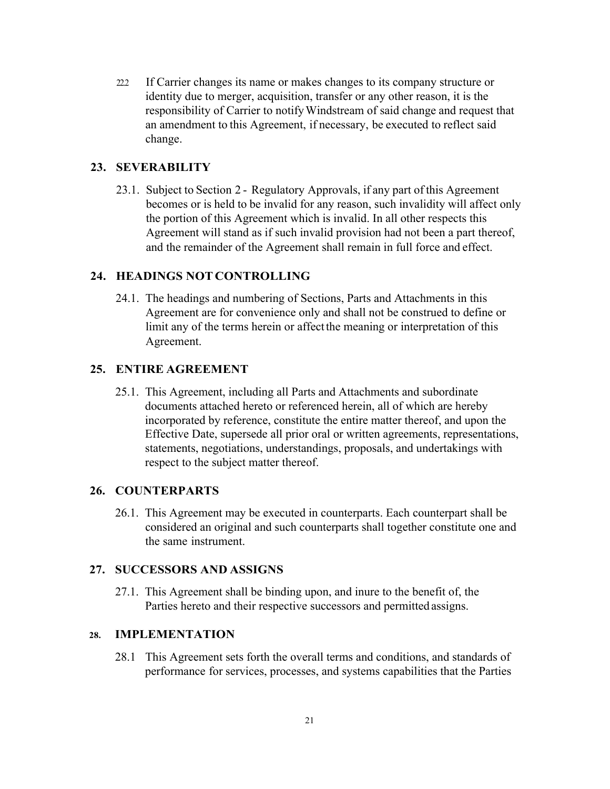22.2 If Carrier changes its name or makes changes to its company structure or identity due to merger, acquisition, transfer or any other reason, it is the responsibility of Carrier to notify Windstream of said change and request that an amendment to this Agreement, if necessary, be executed to reflect said change.

### **23. SEVERABILITY**

23.1. Subject to Section 2 - Regulatory Approvals, if any part of this Agreement becomes or is held to be invalid for any reason, such invalidity will affect only the portion of this Agreement which is invalid. In all other respects this Agreement will stand as if such invalid provision had not been a part thereof, and the remainder of the Agreement shall remain in full force and effect.

### **24. HEADINGS NOT CONTROLLING**

24.1. The headings and numbering of Sections, Parts and Attachments in this Agreement are for convenience only and shall not be construed to define or limit any of the terms herein or affect the meaning or interpretation of this Agreement.

### **25. ENTIRE AGREEMENT**

25.1. This Agreement, including all Parts and Attachments and subordinate documents attached hereto or referenced herein, all of which are hereby incorporated by reference, constitute the entire matter thereof, and upon the Effective Date, supersede all prior oral or written agreements, representations, statements, negotiations, understandings, proposals, and undertakings with respect to the subject matter thereof.

#### **26. COUNTERPARTS**

26.1. This Agreement may be executed in counterparts. Each counterpart shall be considered an original and such counterparts shall together constitute one and the same instrument.

### **27. SUCCESSORS AND ASSIGNS**

27.1. This Agreement shall be binding upon, and inure to the benefit of, the Parties hereto and their respective successors and permitted assigns.

### **28. IMPLEMENTATION**

28.1 This Agreement sets forth the overall terms and conditions, and standards of performance for services, processes, and systems capabilities that the Parties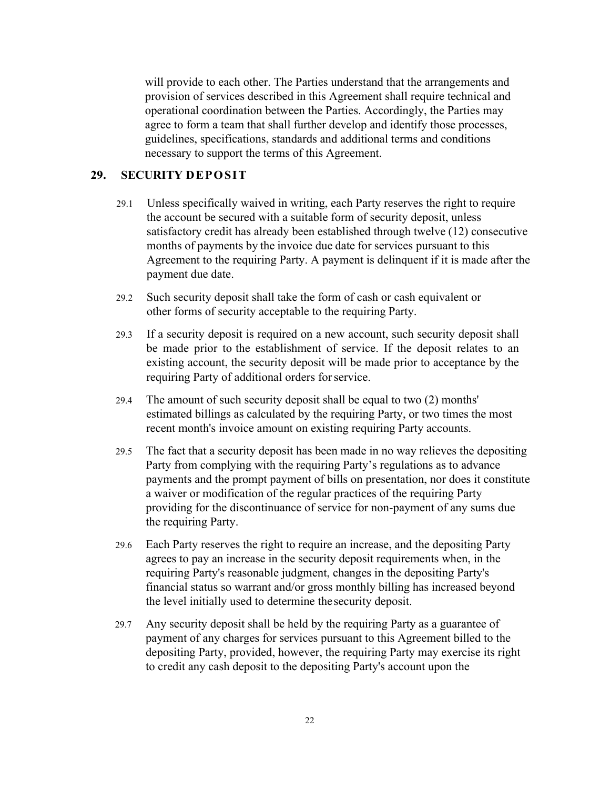will provide to each other. The Parties understand that the arrangements and provision of services described in this Agreement shall require technical and operational coordination between the Parties. Accordingly, the Parties may agree to form a team that shall further develop and identify those processes, guidelines, specifications, standards and additional terms and conditions necessary to support the terms of this Agreement.

## **29. SECURITY DEPOSIT**

- 29.1 Unless specifically waived in writing, each Party reserves the right to require the account be secured with a suitable form of security deposit, unless satisfactory credit has already been established through twelve (12) consecutive months of payments by the invoice due date for services pursuant to this Agreement to the requiring Party. A payment is delinquent if it is made after the payment due date.
- 29.2 Such security deposit shall take the form of cash or cash equivalent or other forms of security acceptable to the requiring Party.
- 29.3 If a security deposit is required on a new account, such security deposit shall be made prior to the establishment of service. If the deposit relates to an existing account, the security deposit will be made prior to acceptance by the requiring Party of additional orders for service.
- 29.4 The amount of such security deposit shall be equal to two (2) months' estimated billings as calculated by the requiring Party, or two times the most recent month's invoice amount on existing requiring Party accounts.
- 29.5 The fact that a security deposit has been made in no way relieves the depositing Party from complying with the requiring Party's regulations as to advance payments and the prompt payment of bills on presentation, nor does it constitute a waiver or modification of the regular practices of the requiring Party providing for the discontinuance of service for non-payment of any sums due the requiring Party.
- 29.6 Each Party reserves the right to require an increase, and the depositing Party agrees to pay an increase in the security deposit requirements when, in the requiring Party's reasonable judgment, changes in the depositing Party's financial status so warrant and/or gross monthly billing has increased beyond the level initially used to determine the security deposit.
- 29.7 Any security deposit shall be held by the requiring Party as a guarantee of payment of any charges for services pursuant to this Agreement billed to the depositing Party, provided, however, the requiring Party may exercise its right to credit any cash deposit to the depositing Party's account upon the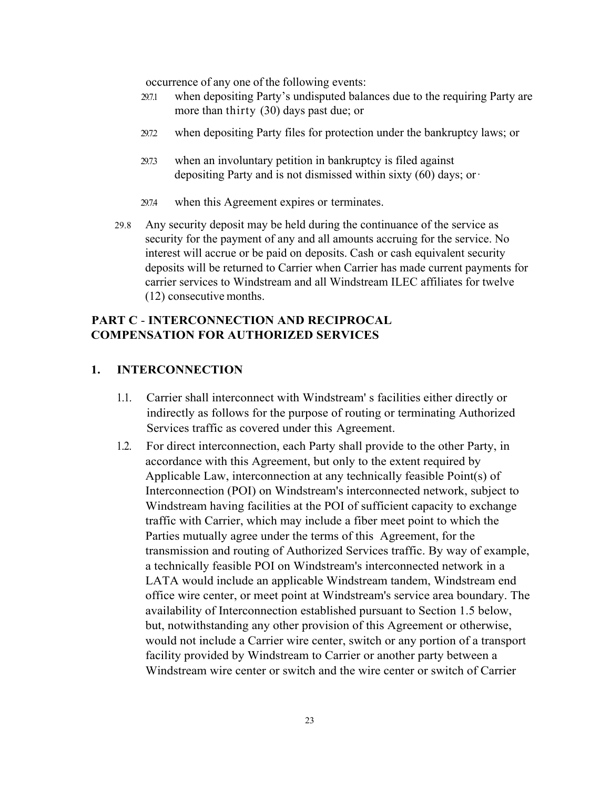occurrence of any one of the following events:

- 29.7.1 when depositing Party's undisputed balances due to the requiring Party are more than thirty (30) days past due; or
- 29.7.2 when depositing Party files for protection under the bankruptcy laws; or
- 29.7.3 when an involuntary petition in bankruptcy is filed against depositing Party and is not dismissed within sixty  $(60)$  days; or  $\cdot$
- 29.7.4 when this Agreement expires or terminates.
- 29.8 Any security deposit may be held during the continuance of the service as security for the payment of any and all amounts accruing for the service. No interest will accrue or be paid on deposits. Cash or cash equivalent security deposits will be returned to Carrier when Carrier has made current payments for carrier services to Windstream and all Windstream ILEC affiliates for twelve (12) consecutive months.

## **PART C** - **INTERCONNECTION AND RECIPROCAL COMPENSATION FOR AUTHORIZED SERVICES**

### **1. INTERCONNECTION**

- 1.1. Carrier shall interconnect with Windstream' s facilities either directly or indirectly as follows for the purpose of routing or terminating Authorized Services traffic as covered under this Agreement.
- 1.2. For direct interconnection, each Party shall provide to the other Party, in accordance with this Agreement, but only to the extent required by Applicable Law, interconnection at any technically feasible Point(s) of Interconnection (POI) on Windstream's interconnected network, subject to Windstream having facilities at the POI of sufficient capacity to exchange traffic with Carrier, which may include a fiber meet point to which the Parties mutually agree under the terms of this Agreement, for the transmission and routing of Authorized Services traffic. By way of example, a technically feasible POI on Windstream's interconnected network in a LATA would include an applicable Windstream tandem, Windstream end office wire center, or meet point at Windstream's service area boundary. The availability of Interconnection established pursuant to Section 1.5 below, but, notwithstanding any other provision of this Agreement or otherwise, would not include a Carrier wire center, switch or any portion of a transport facility provided by Windstream to Carrier or another party between a Windstream wire center or switch and the wire center or switch of Carrier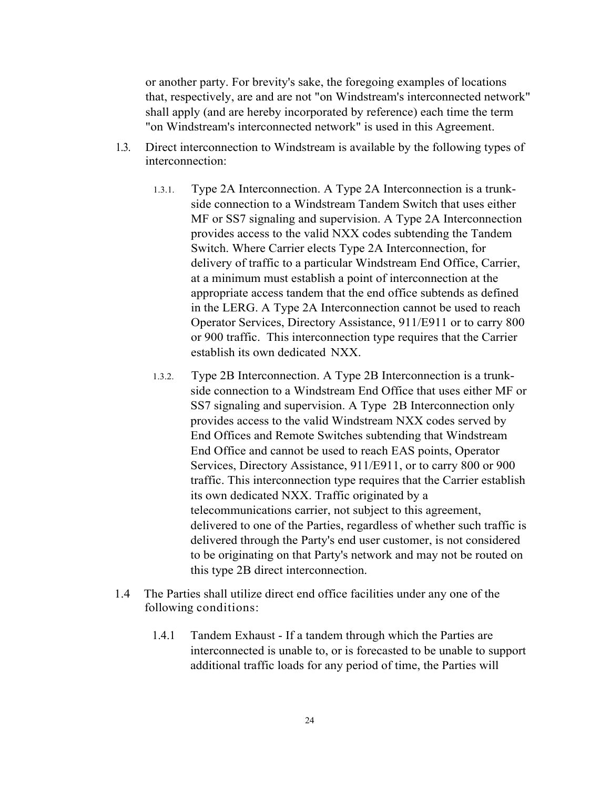or another party. For brevity's sake, the foregoing examples of locations that, respectively, are and are not "on Windstream's interconnected network" shall apply (and are hereby incorporated by reference) each time the term "on Windstream's interconnected network" is used in this Agreement.

- 1.3. Direct interconnection to Windstream is available by the following types of interconnection:
	- 1.3.1. Type 2A Interconnection. A Type 2A Interconnection is a trunkside connection to a Windstream Tandem Switch that uses either MF or SS7 signaling and supervision. A Type 2A Interconnection provides access to the valid NXX codes subtending the Tandem Switch. Where Carrier elects Type 2A Interconnection, for delivery of traffic to a particular Windstream End Office, Carrier, at a minimum must establish a point of interconnection at the appropriate access tandem that the end office subtends as defined in the LERG. A Type 2A Interconnection cannot be used to reach Operator Services, Directory Assistance, 911/E911 or to carry 800 or 900 traffic. This interconnection type requires that the Carrier establish its own dedicated NXX.
	- 1.3.2. Type 2B Interconnection. A Type 2B Interconnection is a trunkside connection to a Windstream End Office that uses either MF or SS7 signaling and supervision. A Type 2B Interconnection only provides access to the valid Windstream NXX codes served by End Offices and Remote Switches subtending that Windstream End Office and cannot be used to reach EAS points, Operator Services, Directory Assistance, 911/E911, or to carry 800 or 900 traffic. This interconnection type requires that the Carrier establish its own dedicated NXX. Traffic originated by a telecommunications carrier, not subject to this agreement, delivered to one of the Parties, regardless of whether such traffic is delivered through the Party's end user customer, is not considered to be originating on that Party's network and may not be routed on this type 2B direct interconnection.
- 1.4 The Parties shall utilize direct end office facilities under any one of the following conditions:
	- 1.4.1 Tandem Exhaust If a tandem through which the Parties are interconnected is unable to, or is forecasted to be unable to support additional traffic loads for any period of time, the Parties will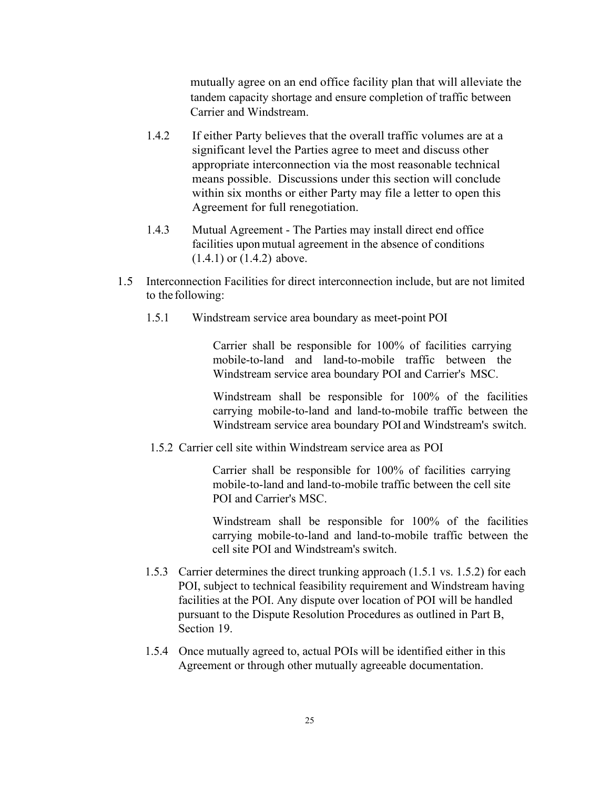mutually agree on an end office facility plan that will alleviate the tandem capacity shortage and ensure completion of traffic between Carrier and Windstream.

- 1.4.2 If either Party believes that the overall traffic volumes are at a significant level the Parties agree to meet and discuss other appropriate interconnection via the most reasonable technical means possible. Discussions under this section will conclude within six months or either Party may file a letter to open this Agreement for full renegotiation.
- 1.4.3 Mutual Agreement The Parties may install direct end office facilities upon mutual agreement in the absence of conditions (1.4.1) or (1.4.2) above.
- 1.5 Interconnection Facilities for direct interconnection include, but are not limited to the following:
	- 1.5.1 Windstream service area boundary as meet-point POI

Carrier shall be responsible for 100% of facilities carrying mobile-to-land and land-to-mobile traffic between the Windstream service area boundary POI and Carrier's MSC.

Windstream shall be responsible for 100% of the facilities carrying mobile-to-land and land-to-mobile traffic between the Windstream service area boundary POI and Windstream's switch.

1.5.2 Carrier cell site within Windstream service area as POI

Carrier shall be responsible for 100% of facilities carrying mobile-to-land and land-to-mobile traffic between the cell site POI and Carrier's MSC.

Windstream shall be responsible for 100% of the facilities carrying mobile-to-land and land-to-mobile traffic between the cell site POI and Windstream's switch.

- 1.5.3 Carrier determines the direct trunking approach (1.5.1 vs. 1.5.2) for each POI, subject to technical feasibility requirement and Windstream having facilities at the POI. Any dispute over location of POI will be handled pursuant to the Dispute Resolution Procedures as outlined in Part B, Section 19.
- 1.5.4 Once mutually agreed to, actual POIs will be identified either in this Agreement or through other mutually agreeable documentation.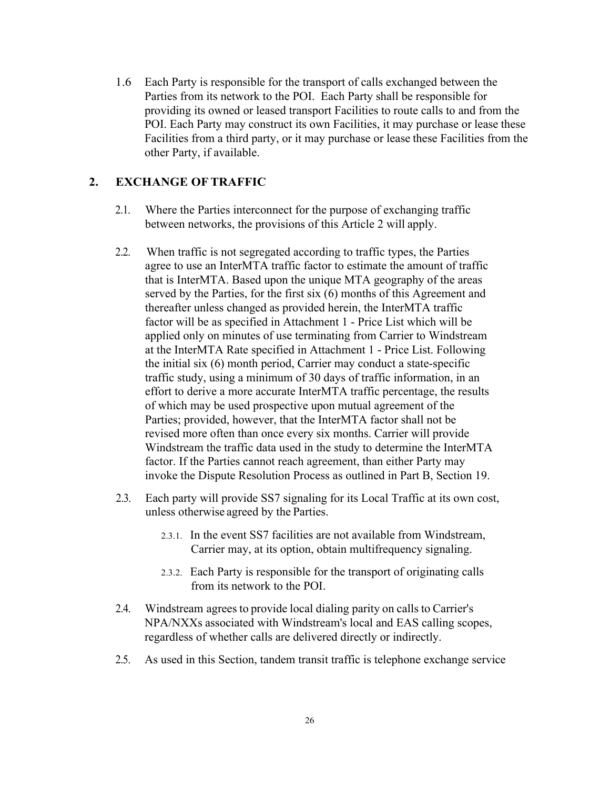1.6 Each Party is responsible for the transport of calls exchanged between the Parties from its network to the POI. Each Party shall be responsible for providing its owned or leased transport Facilities to route calls to and from the POI. Each Party may construct its own Facilities, it may purchase or lease these Facilities from a third party, or it may purchase or lease these Facilities from the other Party, if available.

## **2. EXCHANGE OF TRAFFIC**

- 2.1. Where the Parties interconnect for the purpose of exchanging traffic between networks, the provisions of this Article 2 will apply.
- 2.2. When traffic is not segregated according to traffic types, the Parties agree to use an InterMTA traffic factor to estimate the amount of traffic that is InterMTA. Based upon the unique MTA geography of the areas served by the Parties, for the first six (6) months of this Agreement and thereafter unless changed as provided herein, the InterMTA traffic factor will be as specified in Attachment 1 - Price List which will be applied only on minutes of use terminating from Carrier to Windstream at the InterMTA Rate specified in Attachment 1 - Price List. Following the initial six (6) month period, Carrier may conduct a state-specific traffic study, using a minimum of 30 days of traffic information, in an effort to derive a more accurate InterMTA traffic percentage, the results of which may be used prospective upon mutual agreement of the Parties; provided, however, that the InterMTA factor shall not be revised more often than once every six months. Carrier will provide Windstream the traffic data used in the study to determine the InterMTA factor. If the Parties cannot reach agreement, than either Party may invoke the Dispute Resolution Process as outlined in Part B, Section 19.
- 2.3. Each party will provide SS7 signaling for its Local Traffic at its own cost, unless otherwise agreed by the Parties.
	- 2.3.1. In the event SS7 facilities are not available from Windstream, Carrier may, at its option, obtain multifrequency signaling.
	- 2.3.2. Each Party is responsible for the transport of originating calls from its network to the POI.
- 2.4. Windstream agrees to provide local dialing parity on calls to Carrier's NPA/NXXs associated with Windstream's local and EAS calling scopes, regardless of whether calls are delivered directly or indirectly.
- 2.5. As used in this Section, tandem transit traffic is telephone exchange service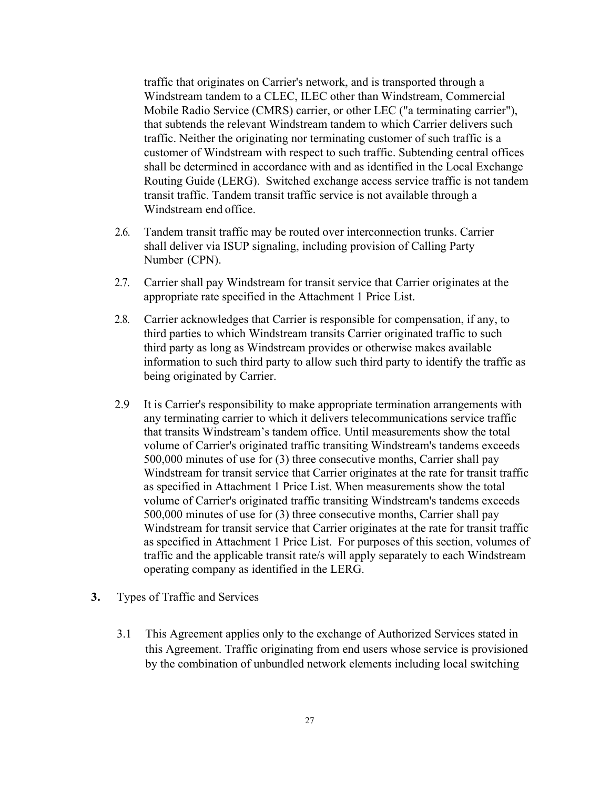traffic that originates on Carrier's network, and is transported through a Windstream tandem to a CLEC, ILEC other than Windstream, Commercial Mobile Radio Service (CMRS) carrier, or other LEC ("a terminating carrier"), that subtends the relevant Windstream tandem to which Carrier delivers such traffic. Neither the originating nor terminating customer of such traffic is a customer of Windstream with respect to such traffic. Subtending central offices shall be determined in accordance with and as identified in the Local Exchange Routing Guide (LERG). Switched exchange access service traffic is not tandem transit traffic. Tandem transit traffic service is not available through a Windstream end office.

- 2.6. Tandem transit traffic may be routed over interconnection trunks. Carrier shall deliver via ISUP signaling, including provision of Calling Party Number (CPN).
- 2.7. Carrier shall pay Windstream for transit service that Carrier originates at the appropriate rate specified in the Attachment 1 Price List.
- 2.8. Carrier acknowledges that Carrier is responsible for compensation, if any, to third parties to which Windstream transits Carrier originated traffic to such third party as long as Windstream provides or otherwise makes available information to such third party to allow such third party to identify the traffic as being originated by Carrier.
- 2.9 It is Carrier's responsibility to make appropriate termination arrangements with any terminating carrier to which it delivers telecommunications service traffic that transits Windstream's tandem office. Until measurements show the total volume of Carrier's originated traffic transiting Windstream's tandems exceeds 500,000 minutes of use for (3) three consecutive months, Carrier shall pay Windstream for transit service that Carrier originates at the rate for transit traffic as specified in Attachment 1 Price List. When measurements show the total volume of Carrier's originated traffic transiting Windstream's tandems exceeds 500,000 minutes of use for (3) three consecutive months, Carrier shall pay Windstream for transit service that Carrier originates at the rate for transit traffic as specified in Attachment 1 Price List. For purposes of this section, volumes of traffic and the applicable transit rate/s will apply separately to each Windstream operating company as identified in the LERG.
- **3.** Types of Traffic and Services
	- 3.1 This Agreement applies only to the exchange of Authorized Services stated in this Agreement. Traffic originating from end users whose service is provisioned by the combination of unbundled network elements including local switching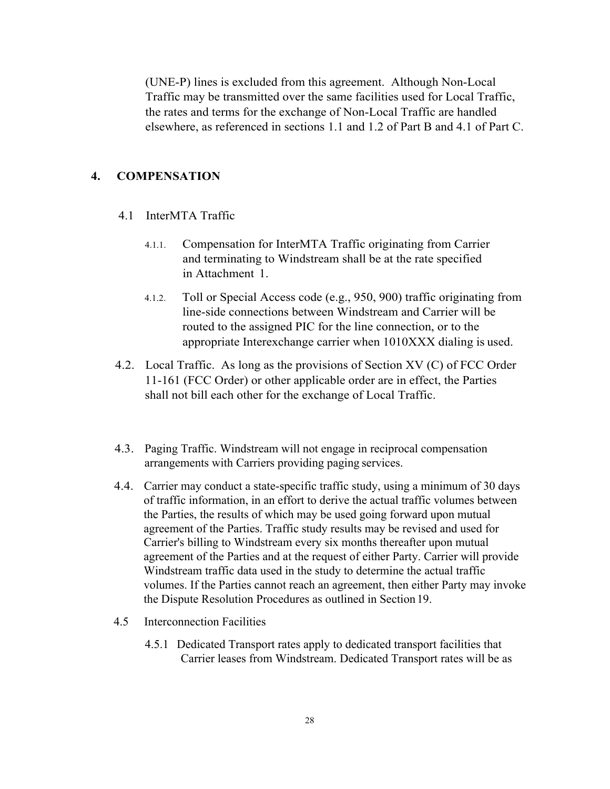(UNE-P) lines is excluded from this agreement. Although Non-Local Traffic may be transmitted over the same facilities used for Local Traffic, the rates and terms for the exchange of Non-Local Traffic are handled elsewhere, as referenced in sections 1.1 and 1.2 of Part B and 4.1 of Part C.

## **4. COMPENSATION**

- 4.1 InterMTA Traffic
	- 4.1.1. Compensation for InterMTA Traffic originating from Carrier and terminating to Windstream shall be at the rate specified in Attachment 1.
	- 4.1.2. Toll or Special Access code (e.g., 950, 900) traffic originating from line-side connections between Windstream and Carrier will be routed to the assigned PIC for the line connection, or to the appropriate Interexchange carrier when 1010XXX dialing is used.
- 4.2. Local Traffic. As long as the provisions of Section XV (C) of FCC Order 11-161 (FCC Order) or other applicable order are in effect, the Parties shall not bill each other for the exchange of Local Traffic.
- 4.3. Paging Traffic. Windstream will not engage in reciprocal compensation arrangements with Carriers providing paging services.
- 4.4. Carrier may conduct a state-specific traffic study, using a minimum of 30 days of traffic information, in an effort to derive the actual traffic volumes between the Parties, the results of which may be used going forward upon mutual agreement of the Parties. Traffic study results may be revised and used for Carrier's billing to Windstream every six months thereafter upon mutual agreement of the Parties and at the request of either Party. Carrier will provide Windstream traffic data used in the study to determine the actual traffic volumes. If the Parties cannot reach an agreement, then either Party may invoke the Dispute Resolution Procedures as outlined in Section 19.
- 4.5 Interconnection Facilities
	- 4.5.1 Dedicated Transport rates apply to dedicated transport facilities that Carrier leases from Windstream. Dedicated Transport rates will be as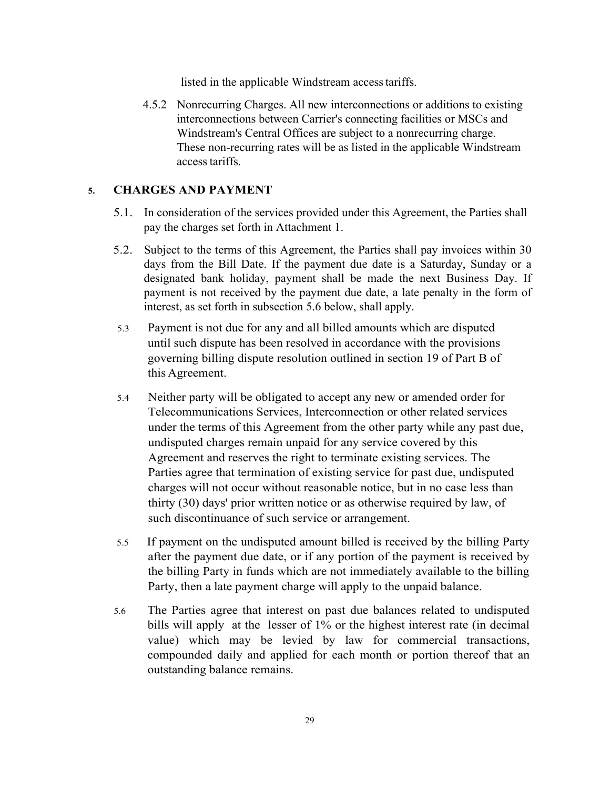listed in the applicable Windstream access tariffs.

4.5.2 Nonrecurring Charges. All new interconnections or additions to existing interconnections between Carrier's connecting facilities or MSCs and Windstream's Central Offices are subject to a nonrecurring charge. These non-recurring rates will be as listed in the applicable Windstream access tariffs.

### **5. CHARGES AND PAYMENT**

- 5.1. In consideration of the services provided under this Agreement, the Parties shall pay the charges set forth in Attachment 1.
- 5.2. Subject to the terms of this Agreement, the Parties shall pay invoices within 30 days from the Bill Date. If the payment due date is a Saturday, Sunday or a designated bank holiday, payment shall be made the next Business Day. If payment is not received by the payment due date, a late penalty in the form of interest, as set forth in subsection 5.6 below, shall apply.
- 5.3 Payment is not due for any and all billed amounts which are disputed until such dispute has been resolved in accordance with the provisions governing billing dispute resolution outlined in section 19 of Part B of this Agreement.
- 5.4 Neither party will be obligated to accept any new or amended order for Telecommunications Services, Interconnection or other related services under the terms of this Agreement from the other party while any past due, undisputed charges remain unpaid for any service covered by this Agreement and reserves the right to terminate existing services. The Parties agree that termination of existing service for past due, undisputed charges will not occur without reasonable notice, but in no case less than thirty (30) days' prior written notice or as otherwise required by law, of such discontinuance of such service or arrangement.
- 5.5 If payment on the undisputed amount billed is received by the billing Party after the payment due date, or if any portion of the payment is received by the billing Party in funds which are not immediately available to the billing Party, then a late payment charge will apply to the unpaid balance.
- 5.6 The Parties agree that interest on past due balances related to undisputed bills will apply at the lesser of 1% or the highest interest rate (in decimal value) which may be levied by law for commercial transactions, compounded daily and applied for each month or portion thereof that an outstanding balance remains.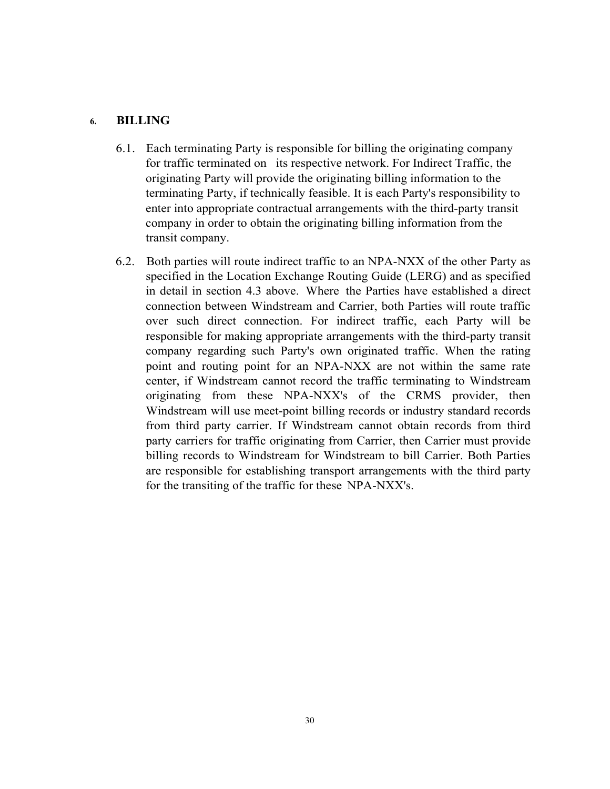### **6. BILLING**

- 6.1. Each terminating Party is responsible for billing the originating company for traffic terminated on its respective network. For Indirect Traffic, the originating Party will provide the originating billing information to the terminating Party, if technically feasible. It is each Party's responsibility to enter into appropriate contractual arrangements with the third-party transit company in order to obtain the originating billing information from the transit company.
- 6.2. Both parties will route indirect traffic to an NPA-NXX of the other Party as specified in the Location Exchange Routing Guide (LERG) and as specified in detail in section 4.3 above. Where the Parties have established a direct connection between Windstream and Carrier, both Parties will route traffic over such direct connection. For indirect traffic, each Party will be responsible for making appropriate arrangements with the third-party transit company regarding such Party's own originated traffic. When the rating point and routing point for an NPA-NXX are not within the same rate center, if Windstream cannot record the traffic terminating to Windstream originating from these NPA-NXX's of the CRMS provider, then Windstream will use meet-point billing records or industry standard records from third party carrier. If Windstream cannot obtain records from third party carriers for traffic originating from Carrier, then Carrier must provide billing records to Windstream for Windstream to bill Carrier. Both Parties are responsible for establishing transport arrangements with the third party for the transiting of the traffic for these NPA-NXX's.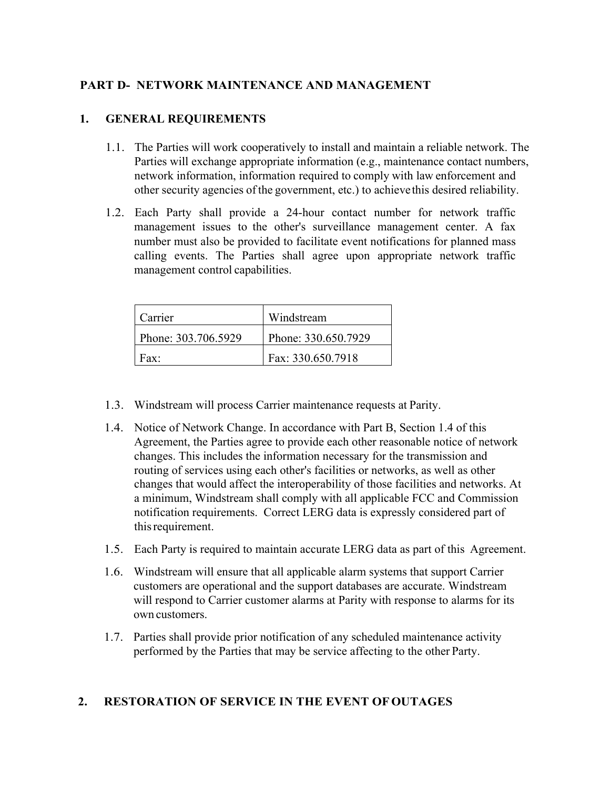## **PART D- NETWORK MAINTENANCE AND MANAGEMENT**

## **1. GENERAL REQUIREMENTS**

- 1.1. The Parties will work cooperatively to install and maintain a reliable network. The Parties will exchange appropriate information (e.g., maintenance contact numbers, network information, information required to comply with law enforcement and other security agencies of the government, etc.) to achieve this desired reliability.
- 1.2. Each Party shall provide a 24-hour contact number for network traffic management issues to the other's surveillance management center. A fax number must also be provided to facilitate event notifications for planned mass calling events. The Parties shall agree upon appropriate network traffic management control capabilities.

| Carrier             | Windstream          |
|---------------------|---------------------|
| Phone: 303.706.5929 | Phone: 330.650.7929 |
| Fax:                | Fax: 330.650.7918   |

- 1.3. Windstream will process Carrier maintenance requests at Parity.
- 1.4. Notice of Network Change. In accordance with Part B, Section 1.4 of this Agreement, the Parties agree to provide each other reasonable notice of network changes. This includes the information necessary for the transmission and routing of services using each other's facilities or networks, as well as other changes that would affect the interoperability of those facilities and networks. At a minimum, Windstream shall comply with all applicable FCC and Commission notification requirements. Correct LERG data is expressly considered part of this requirement.
- 1.5. Each Party is required to maintain accurate LERG data as part of this Agreement.
- 1.6. Windstream will ensure that all applicable alarm systems that support Carrier customers are operational and the support databases are accurate. Windstream will respond to Carrier customer alarms at Parity with response to alarms for its own customers.
- 1.7. Parties shall provide prior notification of any scheduled maintenance activity performed by the Parties that may be service affecting to the other Party.

## **2. RESTORATION OF SERVICE IN THE EVENT OF OUTAGES**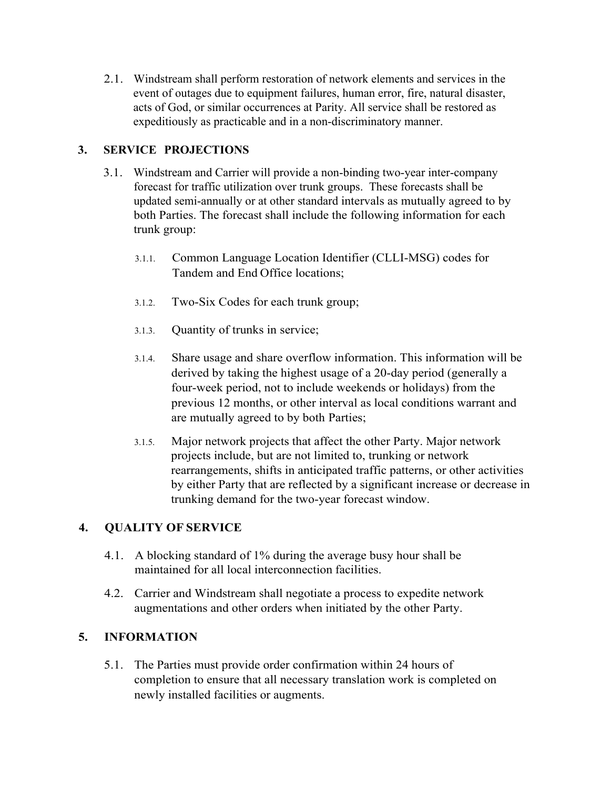2.1. Windstream shall perform restoration of network elements and services in the event of outages due to equipment failures, human error, fire, natural disaster, acts of God, or similar occurrences at Parity. All service shall be restored as expeditiously as practicable and in a non-discriminatory manner.

## **3. SERVICE PROJECTIONS**

- 3.1. Windstream and Carrier will provide a non-binding two-year inter-company forecast for traffic utilization over trunk groups. These forecasts shall be updated semi-annually or at other standard intervals as mutually agreed to by both Parties. The forecast shall include the following information for each trunk group:
	- 3.1.1. Common Language Location Identifier (CLLI-MSG) codes for Tandem and End Office locations;
	- 3.1.2. Two-Six Codes for each trunk group;
	- 3.1.3. Quantity of trunks in service;
	- 3.1.4. Share usage and share overflow information. This information will be derived by taking the highest usage of a 20-day period (generally a four-week period, not to include weekends or holidays) from the previous 12 months, or other interval as local conditions warrant and are mutually agreed to by both Parties;
	- 3.1.5. Major network projects that affect the other Party. Major network projects include, but are not limited to, trunking or network rearrangements, shifts in anticipated traffic patterns, or other activities by either Party that are reflected by a significant increase or decrease in trunking demand for the two-year forecast window.

## **4. QUALITY OF SERVICE**

- 4.1. A blocking standard of 1% during the average busy hour shall be maintained for all local interconnection facilities.
- 4.2. Carrier and Windstream shall negotiate a process to expedite network augmentations and other orders when initiated by the other Party.

## **5. INFORMATION**

5.1. The Parties must provide order confirmation within 24 hours of completion to ensure that all necessary translation work is completed on newly installed facilities or augments.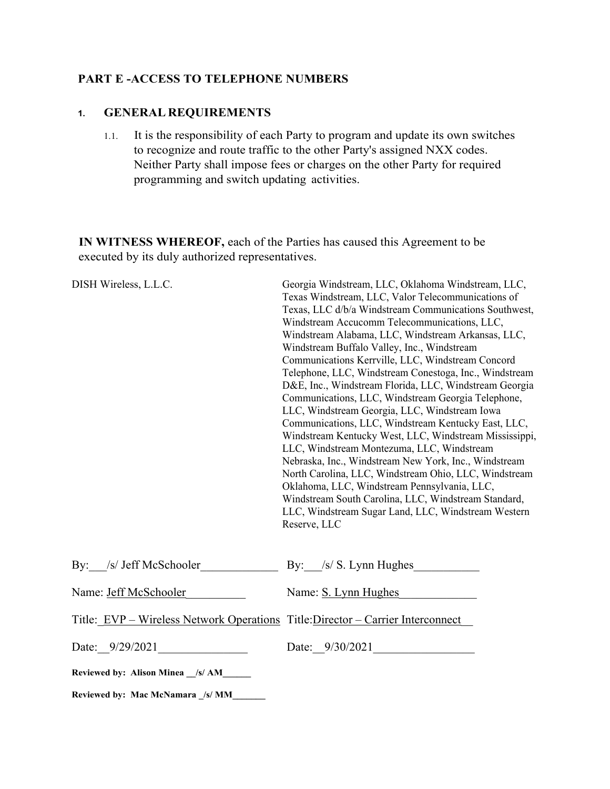## **PART E -ACCESS TO TELEPHONE NUMBERS**

## **1. GENERAL REQUIREMENTS**

1.1. It is the responsibility of each Party to program and update its own switches to recognize and route traffic to the other Party's assigned NXX codes. Neither Party shall impose fees or charges on the other Party for required programming and switch updating activities.

**IN WITNESS WHEREOF,** each of the Parties has caused this Agreement to be executed by its duly authorized representatives.

| DISH Wireless, L.L.C.                                                           | Georgia Windstream, LLC, Oklahoma Windstream, LLC,<br>Texas Windstream, LLC, Valor Telecommunications of<br>Texas, LLC d/b/a Windstream Communications Southwest,<br>Windstream Accucomm Telecommunications, LLC,<br>Windstream Alabama, LLC, Windstream Arkansas, LLC,<br>Windstream Buffalo Valley, Inc., Windstream<br>Communications Kerrville, LLC, Windstream Concord<br>Telephone, LLC, Windstream Conestoga, Inc., Windstream<br>D&E, Inc., Windstream Florida, LLC, Windstream Georgia<br>Communications, LLC, Windstream Georgia Telephone,<br>LLC, Windstream Georgia, LLC, Windstream Iowa<br>Communications, LLC, Windstream Kentucky East, LLC,<br>Windstream Kentucky West, LLC, Windstream Mississippi,<br>LLC, Windstream Montezuma, LLC, Windstream<br>Nebraska, Inc., Windstream New York, Inc., Windstream<br>North Carolina, LLC, Windstream Ohio, LLC, Windstream<br>Oklahoma, LLC, Windstream Pennsylvania, LLC,<br>Windstream South Carolina, LLC, Windstream Standard,<br>LLC, Windstream Sugar Land, LLC, Windstream Western<br>Reserve, LLC |  |  |
|---------------------------------------------------------------------------------|------------------------------------------------------------------------------------------------------------------------------------------------------------------------------------------------------------------------------------------------------------------------------------------------------------------------------------------------------------------------------------------------------------------------------------------------------------------------------------------------------------------------------------------------------------------------------------------------------------------------------------------------------------------------------------------------------------------------------------------------------------------------------------------------------------------------------------------------------------------------------------------------------------------------------------------------------------------------------------------------------------------------------------------------------------------------|--|--|
| By: /s/ Jeff McSchooler                                                         | By: /s/ S. Lynn Hughes                                                                                                                                                                                                                                                                                                                                                                                                                                                                                                                                                                                                                                                                                                                                                                                                                                                                                                                                                                                                                                                 |  |  |
| Name: Jeff McSchooler                                                           | Name: S. Lynn Hughes                                                                                                                                                                                                                                                                                                                                                                                                                                                                                                                                                                                                                                                                                                                                                                                                                                                                                                                                                                                                                                                   |  |  |
| Title: EVP – Wireless Network Operations Title: Director – Carrier Interconnect |                                                                                                                                                                                                                                                                                                                                                                                                                                                                                                                                                                                                                                                                                                                                                                                                                                                                                                                                                                                                                                                                        |  |  |
| Date: $9/29/2021$                                                               | Date: $9/30/2021$                                                                                                                                                                                                                                                                                                                                                                                                                                                                                                                                                                                                                                                                                                                                                                                                                                                                                                                                                                                                                                                      |  |  |
| Reviewed by: Alison Minea _/s/ AM_____                                          |                                                                                                                                                                                                                                                                                                                                                                                                                                                                                                                                                                                                                                                                                                                                                                                                                                                                                                                                                                                                                                                                        |  |  |
| Reviewed by: Mac McNamara /s/ MM                                                |                                                                                                                                                                                                                                                                                                                                                                                                                                                                                                                                                                                                                                                                                                                                                                                                                                                                                                                                                                                                                                                                        |  |  |